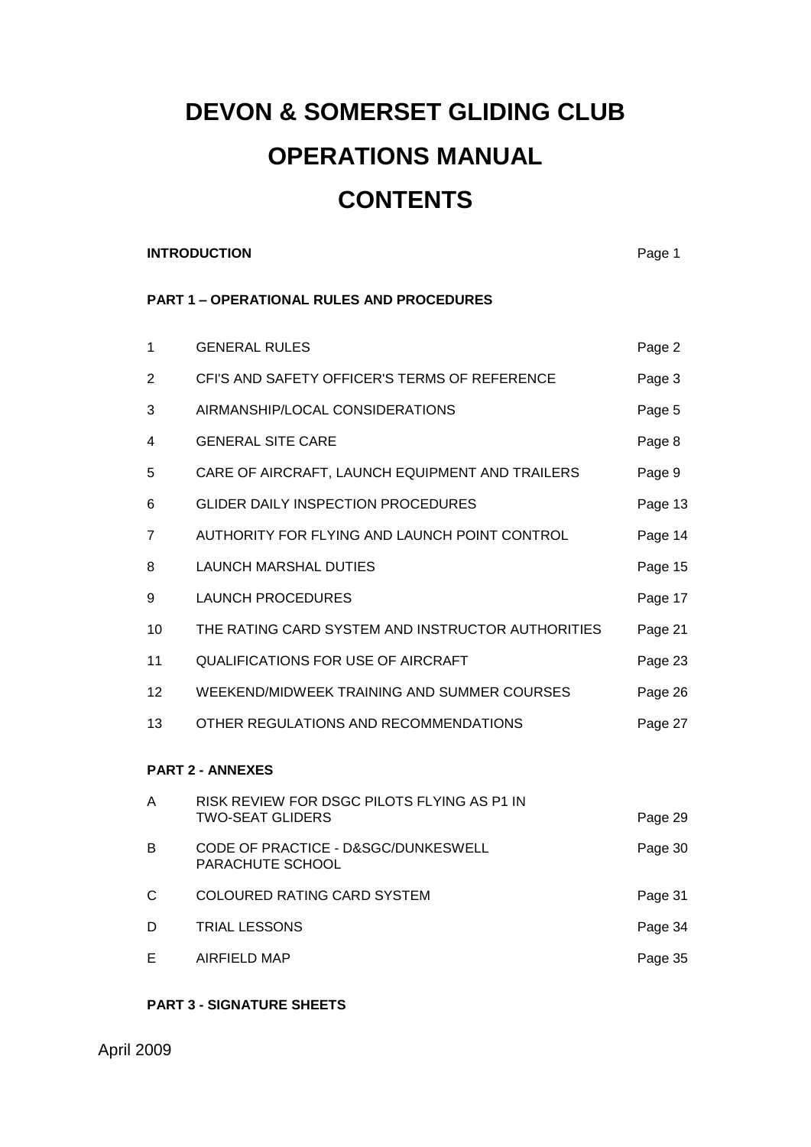# **DEVON & SOMERSET GLIDING CLUB OPERATIONS MANUAL CONTENTS**

#### **INTRODUCTION** Page 1

### **PART 1 – OPERATIONAL RULES AND PROCEDURES**

| 1  | <b>GENERAL RULES</b>                                                   | Page 2  |
|----|------------------------------------------------------------------------|---------|
| 2  | CFI'S AND SAFETY OFFICER'S TERMS OF REFERENCE                          | Page 3  |
| 3  | AIRMANSHIP/LOCAL CONSIDERATIONS                                        | Page 5  |
| 4  | <b>GENERAL SITE CARE</b>                                               | Page 8  |
| 5  | CARE OF AIRCRAFT, LAUNCH EQUIPMENT AND TRAILERS                        | Page 9  |
| 6  | <b>GLIDER DAILY INSPECTION PROCEDURES</b>                              | Page 13 |
| 7  | AUTHORITY FOR FLYING AND LAUNCH POINT CONTROL                          | Page 14 |
| 8  | <b>LAUNCH MARSHAL DUTIES</b>                                           | Page 15 |
| 9  | <b>LAUNCH PROCEDURES</b>                                               | Page 17 |
| 10 | THE RATING CARD SYSTEM AND INSTRUCTOR AUTHORITIES                      | Page 21 |
| 11 | <b>QUALIFICATIONS FOR USE OF AIRCRAFT</b>                              | Page 23 |
| 12 | WEEKEND/MIDWEEK TRAINING AND SUMMER COURSES                            | Page 26 |
| 13 | OTHER REGULATIONS AND RECOMMENDATIONS                                  | Page 27 |
|    | <b>PART 2 - ANNEXES</b>                                                |         |
| A  | RISK REVIEW FOR DSGC PILOTS FLYING AS P1 IN<br><b>TWO-SEAT GLIDERS</b> | Page 29 |
| В  | CODE OF PRACTICE - D&SGC/DUNKESWELL<br>PARACHUTE SCHOOL                | Page 30 |
| С  | COLOURED RATING CARD SYSTEM                                            | Page 31 |
| D  | <b>TRIAL LESSONS</b>                                                   | Page 34 |
| Е  | <b>AIRFIELD MAP</b>                                                    | Page 35 |

#### **PART 3 - SIGNATURE SHEETS**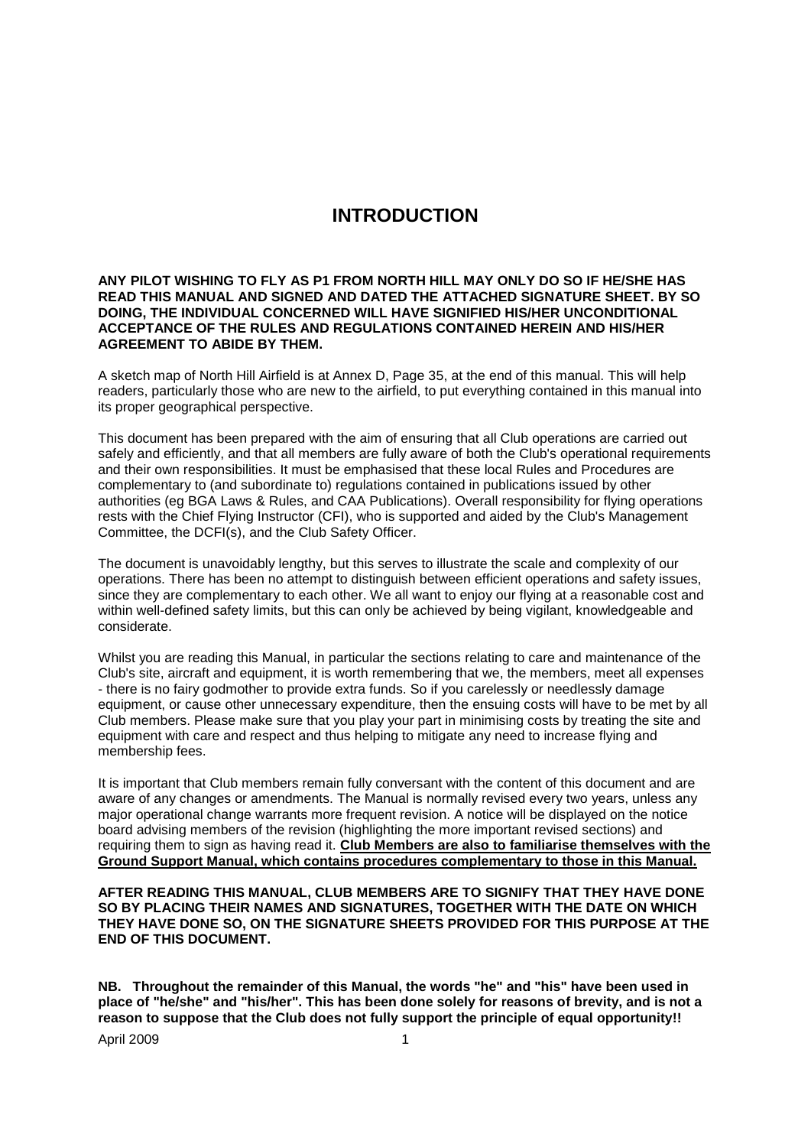## **INTRODUCTION**

#### **ANY PILOT WISHING TO FLY AS P1 FROM NORTH HILL MAY ONLY DO SO IF HE/SHE HAS READ THIS MANUAL AND SIGNED AND DATED THE ATTACHED SIGNATURE SHEET. BY SO DOING, THE INDIVIDUAL CONCERNED WILL HAVE SIGNIFIED HIS/HER UNCONDITIONAL ACCEPTANCE OF THE RULES AND REGULATIONS CONTAINED HEREIN AND HIS/HER AGREEMENT TO ABIDE BY THEM.**

A sketch map of North Hill Airfield is at Annex D, Page 35, at the end of this manual. This will help readers, particularly those who are new to the airfield, to put everything contained in this manual into its proper geographical perspective.

This document has been prepared with the aim of ensuring that all Club operations are carried out safely and efficiently, and that all members are fully aware of both the Club's operational requirements and their own responsibilities. It must be emphasised that these local Rules and Procedures are complementary to (and subordinate to) regulations contained in publications issued by other authorities (eg BGA Laws & Rules, and CAA Publications). Overall responsibility for flying operations rests with the Chief Flying Instructor (CFI), who is supported and aided by the Club's Management Committee, the DCFI(s), and the Club Safety Officer.

The document is unavoidably lengthy, but this serves to illustrate the scale and complexity of our operations. There has been no attempt to distinguish between efficient operations and safety issues, since they are complementary to each other. We all want to enjoy our flying at a reasonable cost and within well-defined safety limits, but this can only be achieved by being vigilant, knowledgeable and considerate.

Whilst you are reading this Manual, in particular the sections relating to care and maintenance of the Club's site, aircraft and equipment, it is worth remembering that we, the members, meet all expenses - there is no fairy godmother to provide extra funds. So if you carelessly or needlessly damage equipment, or cause other unnecessary expenditure, then the ensuing costs will have to be met by all Club members. Please make sure that you play your part in minimising costs by treating the site and equipment with care and respect and thus helping to mitigate any need to increase flying and membership fees.

It is important that Club members remain fully conversant with the content of this document and are aware of any changes or amendments. The Manual is normally revised every two years, unless any major operational change warrants more frequent revision. A notice will be displayed on the notice board advising members of the revision (highlighting the more important revised sections) and requiring them to sign as having read it. **Club Members are also to familiarise themselves with the Ground Support Manual, which contains procedures complementary to those in this Manual.**

**AFTER READING THIS MANUAL, CLUB MEMBERS ARE TO SIGNIFY THAT THEY HAVE DONE SO BY PLACING THEIR NAMES AND SIGNATURES, TOGETHER WITH THE DATE ON WHICH THEY HAVE DONE SO, ON THE SIGNATURE SHEETS PROVIDED FOR THIS PURPOSE AT THE END OF THIS DOCUMENT.**

**NB. Throughout the remainder of this Manual, the words "he" and "his" have been used in place of "he/she" and "his/her". This has been done solely for reasons of brevity, and is not a reason to suppose that the Club does not fully support the principle of equal opportunity!!**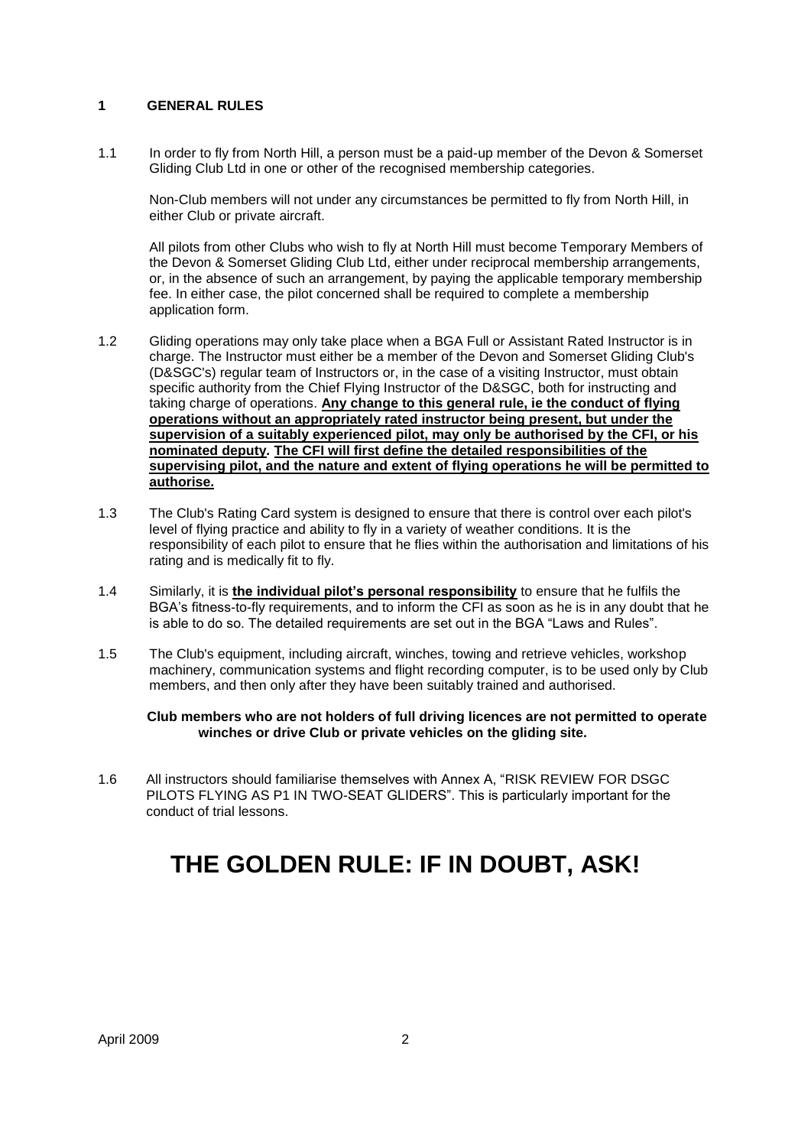#### **1 GENERAL RULES**

1.1 In order to fly from North Hill, a person must be a paid-up member of the Devon & Somerset Gliding Club Ltd in one or other of the recognised membership categories.

Non-Club members will not under any circumstances be permitted to fly from North Hill, in either Club or private aircraft.

All pilots from other Clubs who wish to fly at North Hill must become Temporary Members of the Devon & Somerset Gliding Club Ltd, either under reciprocal membership arrangements, or, in the absence of such an arrangement, by paying the applicable temporary membership fee. In either case, the pilot concerned shall be required to complete a membership application form.

- 1.2 Gliding operations may only take place when a BGA Full or Assistant Rated Instructor is in charge. The Instructor must either be a member of the Devon and Somerset Gliding Club's (D&SGC's) regular team of Instructors or, in the case of a visiting Instructor, must obtain specific authority from the Chief Flying Instructor of the D&SGC, both for instructing and taking charge of operations. **Any change to this general rule, ie the conduct of flying operations without an appropriately rated instructor being present, but under the supervision of a suitably experienced pilot, may only be authorised by the CFI, or his nominated deputy***.* **The CFI will first define the detailed responsibilities of the supervising pilot, and the nature and extent of flying operations he will be permitted to authorise.**
- 1.3 The Club's Rating Card system is designed to ensure that there is control over each pilot's level of flying practice and ability to fly in a variety of weather conditions. It is the responsibility of each pilot to ensure that he flies within the authorisation and limitations of his rating and is medically fit to fly.
- 1.4 Similarly, it is **the individual pilot"s personal responsibility** to ensure that he fulfils the BGA"s fitness-to-fly requirements, and to inform the CFI as soon as he is in any doubt that he is able to do so. The detailed requirements are set out in the BGA "Laws and Rules".
- 1.5 The Club's equipment, including aircraft, winches, towing and retrieve vehicles, workshop machinery, communication systems and flight recording computer, is to be used only by Club members, and then only after they have been suitably trained and authorised.

**Club members who are not holders of full driving licences are not permitted to operate winches or drive Club or private vehicles on the gliding site.**

1.6 All instructors should familiarise themselves with Annex A, "RISK REVIEW FOR DSGC PILOTS FLYING AS P1 IN TWO-SEAT GLIDERS". This is particularly important for the conduct of trial lessons.

## **THE GOLDEN RULE: IF IN DOUBT, ASK!**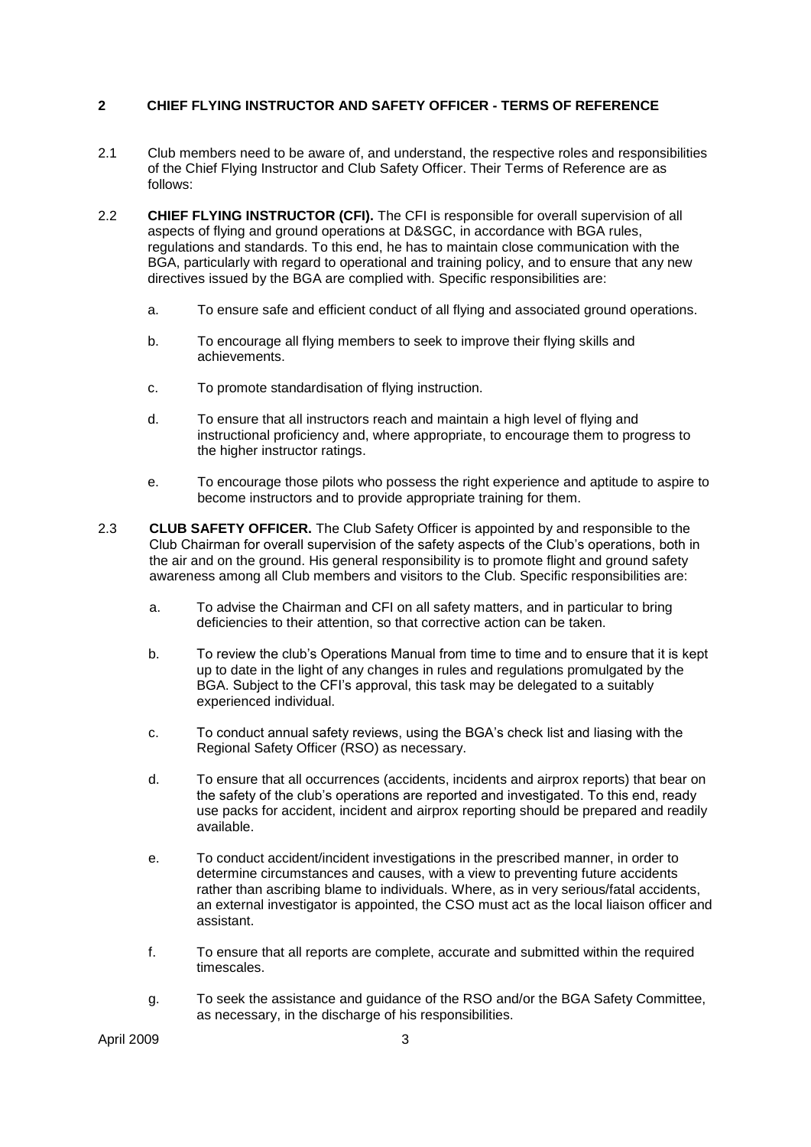#### **2 CHIEF FLYING INSTRUCTOR AND SAFETY OFFICER - TERMS OF REFERENCE**

- 2.1 Club members need to be aware of, and understand, the respective roles and responsibilities of the Chief Flying Instructor and Club Safety Officer. Their Terms of Reference are as follows:
- 2.2 **CHIEF FLYING INSTRUCTOR (CFI).** The CFI is responsible for overall supervision of all aspects of flying and ground operations at D&SGC, in accordance with BGA rules, regulations and standards. To this end, he has to maintain close communication with the BGA, particularly with regard to operational and training policy, and to ensure that any new directives issued by the BGA are complied with. Specific responsibilities are:
	- a. To ensure safe and efficient conduct of all flying and associated ground operations.
	- b. To encourage all flying members to seek to improve their flying skills and achievements.
	- c. To promote standardisation of flying instruction.
	- d. To ensure that all instructors reach and maintain a high level of flying and instructional proficiency and, where appropriate, to encourage them to progress to the higher instructor ratings.
	- e. To encourage those pilots who possess the right experience and aptitude to aspire to become instructors and to provide appropriate training for them.
- 2.3 **CLUB SAFETY OFFICER.** The Club Safety Officer is appointed by and responsible to the Club Chairman for overall supervision of the safety aspects of the Club"s operations, both in the air and on the ground. His general responsibility is to promote flight and ground safety awareness among all Club members and visitors to the Club. Specific responsibilities are:
	- a. To advise the Chairman and CFI on all safety matters, and in particular to bring deficiencies to their attention, so that corrective action can be taken.
	- b. To review the club"s Operations Manual from time to time and to ensure that it is kept up to date in the light of any changes in rules and regulations promulgated by the BGA. Subject to the CFI"s approval, this task may be delegated to a suitably experienced individual.
	- c. To conduct annual safety reviews, using the BGA"s check list and liasing with the Regional Safety Officer (RSO) as necessary.
	- d. To ensure that all occurrences (accidents, incidents and airprox reports) that bear on the safety of the club"s operations are reported and investigated. To this end, ready use packs for accident, incident and airprox reporting should be prepared and readily available.
	- e. To conduct accident/incident investigations in the prescribed manner, in order to determine circumstances and causes, with a view to preventing future accidents rather than ascribing blame to individuals. Where, as in very serious/fatal accidents, an external investigator is appointed, the CSO must act as the local liaison officer and assistant.
	- f. To ensure that all reports are complete, accurate and submitted within the required timescales.
	- g. To seek the assistance and guidance of the RSO and/or the BGA Safety Committee, as necessary, in the discharge of his responsibilities.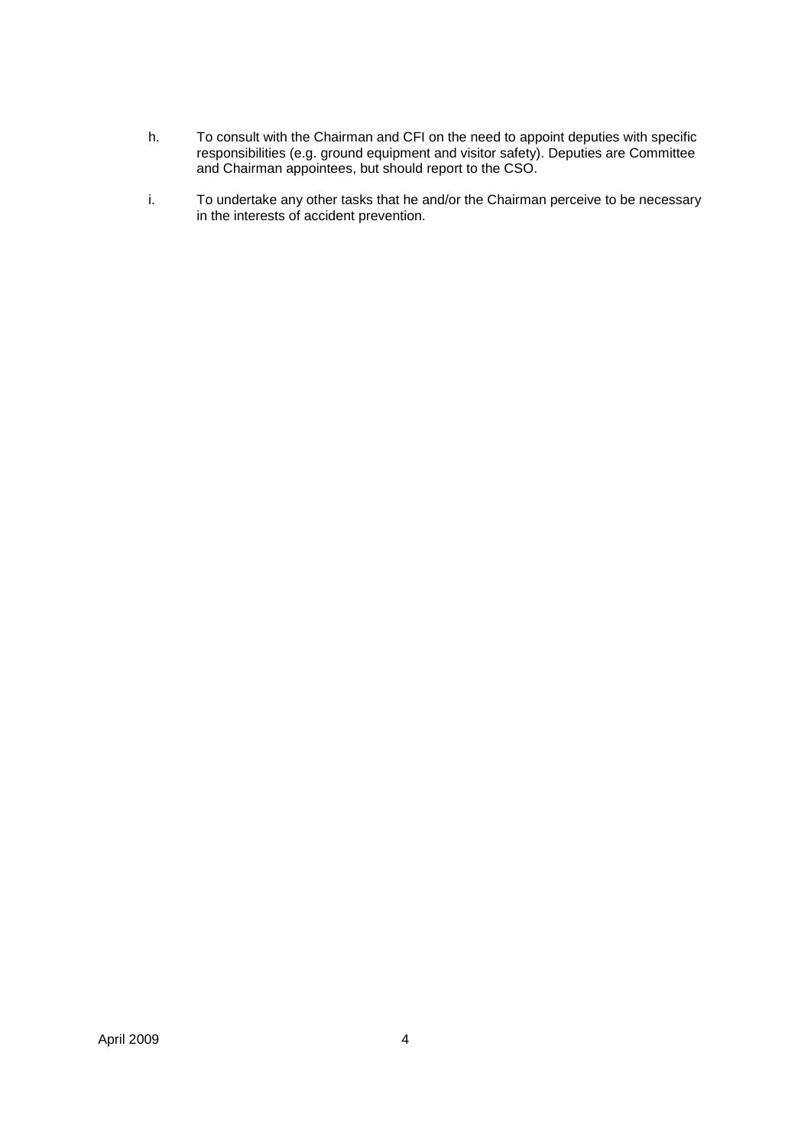- h. To consult with the Chairman and CFI on the need to appoint deputies with specific responsibilities (e.g. ground equipment and visitor safety). Deputies are Committee and Chairman appointees, but should report to the CSO.
- i. To undertake any other tasks that he and/or the Chairman perceive to be necessary in the interests of accident prevention.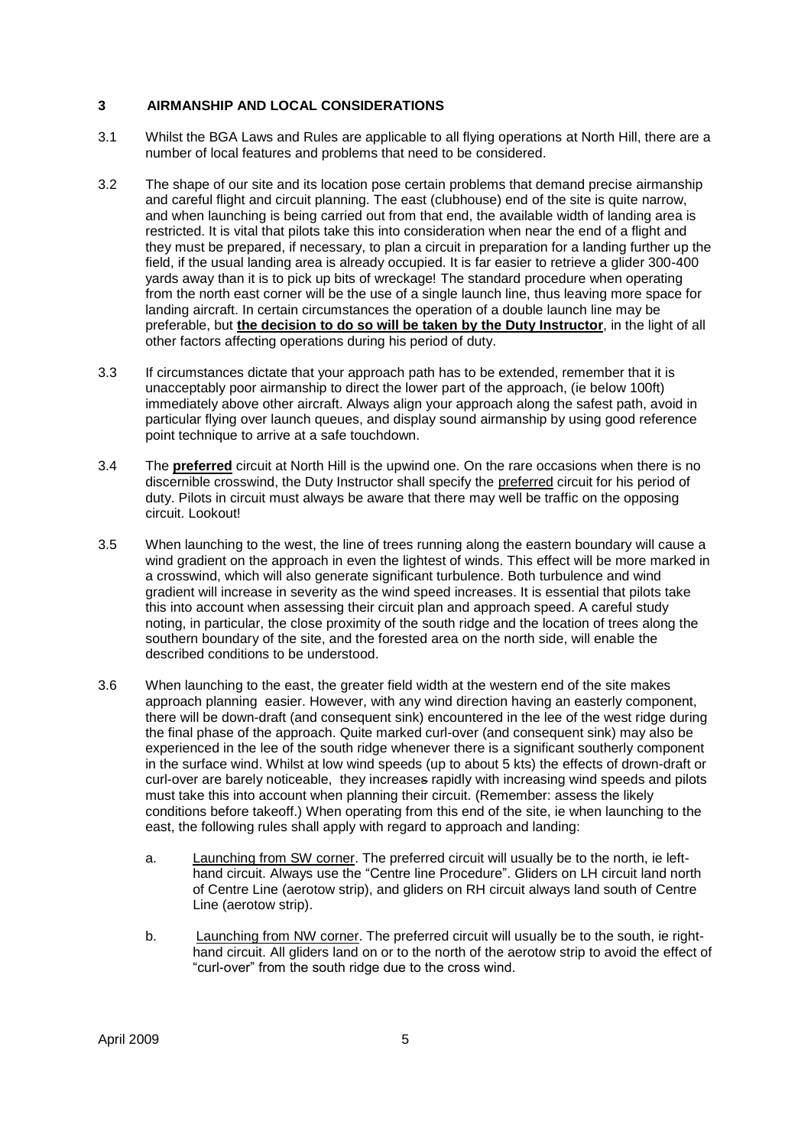#### **3 AIRMANSHIP AND LOCAL CONSIDERATIONS**

- 3.1 Whilst the BGA Laws and Rules are applicable to all flying operations at North Hill, there are a number of local features and problems that need to be considered.
- 3.2 The shape of our site and its location pose certain problems that demand precise airmanship and careful flight and circuit planning. The east (clubhouse) end of the site is quite narrow, and when launching is being carried out from that end, the available width of landing area is restricted. It is vital that pilots take this into consideration when near the end of a flight and they must be prepared, if necessary, to plan a circuit in preparation for a landing further up the field, if the usual landing area is already occupied. It is far easier to retrieve a glider 300-400 yards away than it is to pick up bits of wreckage! The standard procedure when operating from the north east corner will be the use of a single launch line, thus leaving more space for landing aircraft. In certain circumstances the operation of a double launch line may be preferable, but **the decision to do so will be taken by the Duty Instructor**, in the light of all other factors affecting operations during his period of duty.
- 3.3 If circumstances dictate that your approach path has to be extended, remember that it is unacceptably poor airmanship to direct the lower part of the approach, (ie below 100ft) immediately above other aircraft. Always align your approach along the safest path, avoid in particular flying over launch queues, and display sound airmanship by using good reference point technique to arrive at a safe touchdown.
- 3.4 The **preferred** circuit at North Hill is the upwind one. On the rare occasions when there is no discernible crosswind, the Duty Instructor shall specify the preferred circuit for his period of duty. Pilots in circuit must always be aware that there may well be traffic on the opposing circuit. Lookout!
- 3.5 When launching to the west, the line of trees running along the eastern boundary will cause a wind gradient on the approach in even the lightest of winds. This effect will be more marked in a crosswind, which will also generate significant turbulence. Both turbulence and wind gradient will increase in severity as the wind speed increases. It is essential that pilots take this into account when assessing their circuit plan and approach speed. A careful study noting, in particular, the close proximity of the south ridge and the location of trees along the southern boundary of the site, and the forested area on the north side, will enable the described conditions to be understood.
- 3.6 When launching to the east, the greater field width at the western end of the site makes approach planning easier. However, with any wind direction having an easterly component, there will be down-draft (and consequent sink) encountered in the lee of the west ridge during the final phase of the approach. Quite marked curl-over (and consequent sink) may also be experienced in the lee of the south ridge whenever there is a significant southerly component in the surface wind. Whilst at low wind speeds (up to about 5 kts) the effects of drown-draft or curl-over are barely noticeable, they increases rapidly with increasing wind speeds and pilots must take this into account when planning their circuit. (Remember: assess the likely conditions before takeoff.) When operating from this end of the site, ie when launching to the east, the following rules shall apply with regard to approach and landing:
	- a. Launching from SW corner. The preferred circuit will usually be to the north, ie lefthand circuit. Always use the "Centre line Procedure". Gliders on LH circuit land north of Centre Line (aerotow strip), and gliders on RH circuit always land south of Centre Line (aerotow strip).
	- b. Launching from NW corner. The preferred circuit will usually be to the south, ie righthand circuit. All gliders land on or to the north of the aerotow strip to avoid the effect of "curl-over" from the south ridge due to the cross wind.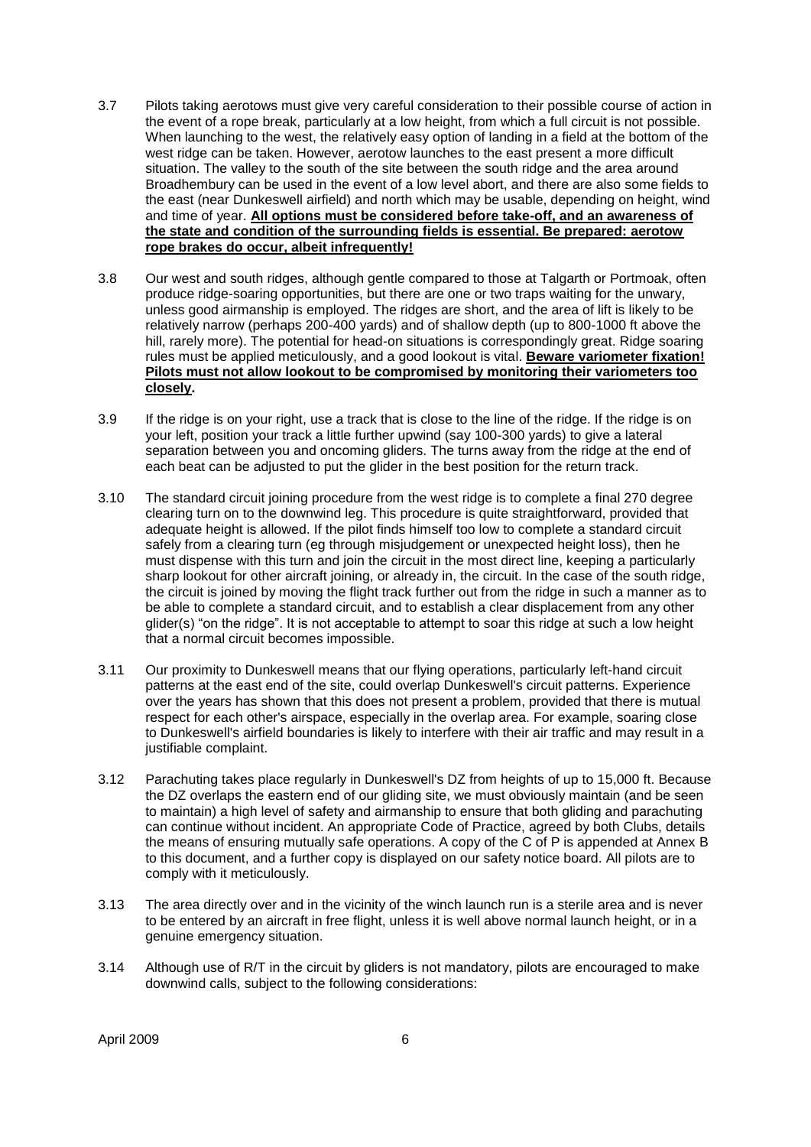- 3.7 Pilots taking aerotows must give very careful consideration to their possible course of action in the event of a rope break, particularly at a low height, from which a full circuit is not possible. When launching to the west, the relatively easy option of landing in a field at the bottom of the west ridge can be taken. However, aerotow launches to the east present a more difficult situation. The valley to the south of the site between the south ridge and the area around Broadhembury can be used in the event of a low level abort, and there are also some fields to the east (near Dunkeswell airfield) and north which may be usable, depending on height, wind and time of year. **All options must be considered before take-off, and an awareness of the state and condition of the surrounding fields is essential. Be prepared: aerotow rope brakes do occur, albeit infrequently!**
- 3.8 Our west and south ridges, although gentle compared to those at Talgarth or Portmoak, often produce ridge-soaring opportunities, but there are one or two traps waiting for the unwary, unless good airmanship is employed. The ridges are short, and the area of lift is likely to be relatively narrow (perhaps 200-400 yards) and of shallow depth (up to 800-1000 ft above the hill, rarely more). The potential for head-on situations is correspondingly great. Ridge soaring rules must be applied meticulously, and a good lookout is vital. **Beware variometer fixation! Pilots must not allow lookout to be compromised by monitoring their variometers too closely.**
- 3.9 If the ridge is on your right, use a track that is close to the line of the ridge. If the ridge is on your left, position your track a little further upwind (say 100-300 yards) to give a lateral separation between you and oncoming gliders. The turns away from the ridge at the end of each beat can be adjusted to put the glider in the best position for the return track.
- 3.10 The standard circuit joining procedure from the west ridge is to complete a final 270 degree clearing turn on to the downwind leg. This procedure is quite straightforward, provided that adequate height is allowed. If the pilot finds himself too low to complete a standard circuit safely from a clearing turn (eg through misjudgement or unexpected height loss), then he must dispense with this turn and join the circuit in the most direct line, keeping a particularly sharp lookout for other aircraft joining, or already in, the circuit. In the case of the south ridge, the circuit is joined by moving the flight track further out from the ridge in such a manner as to be able to complete a standard circuit, and to establish a clear displacement from any other glider(s) "on the ridge". It is not acceptable to attempt to soar this ridge at such a low height that a normal circuit becomes impossible.
- 3.11 Our proximity to Dunkeswell means that our flying operations, particularly left-hand circuit patterns at the east end of the site, could overlap Dunkeswell's circuit patterns. Experience over the years has shown that this does not present a problem, provided that there is mutual respect for each other's airspace, especially in the overlap area. For example, soaring close to Dunkeswell's airfield boundaries is likely to interfere with their air traffic and may result in a justifiable complaint.
- 3.12 Parachuting takes place regularly in Dunkeswell's DZ from heights of up to 15,000 ft. Because the DZ overlaps the eastern end of our gliding site, we must obviously maintain (and be seen to maintain) a high level of safety and airmanship to ensure that both gliding and parachuting can continue without incident. An appropriate Code of Practice, agreed by both Clubs, details the means of ensuring mutually safe operations. A copy of the C of P is appended at Annex B to this document, and a further copy is displayed on our safety notice board. All pilots are to comply with it meticulously.
- 3.13 The area directly over and in the vicinity of the winch launch run is a sterile area and is never to be entered by an aircraft in free flight, unless it is well above normal launch height, or in a genuine emergency situation.
- 3.14 Although use of R/T in the circuit by gliders is not mandatory, pilots are encouraged to make downwind calls, subject to the following considerations: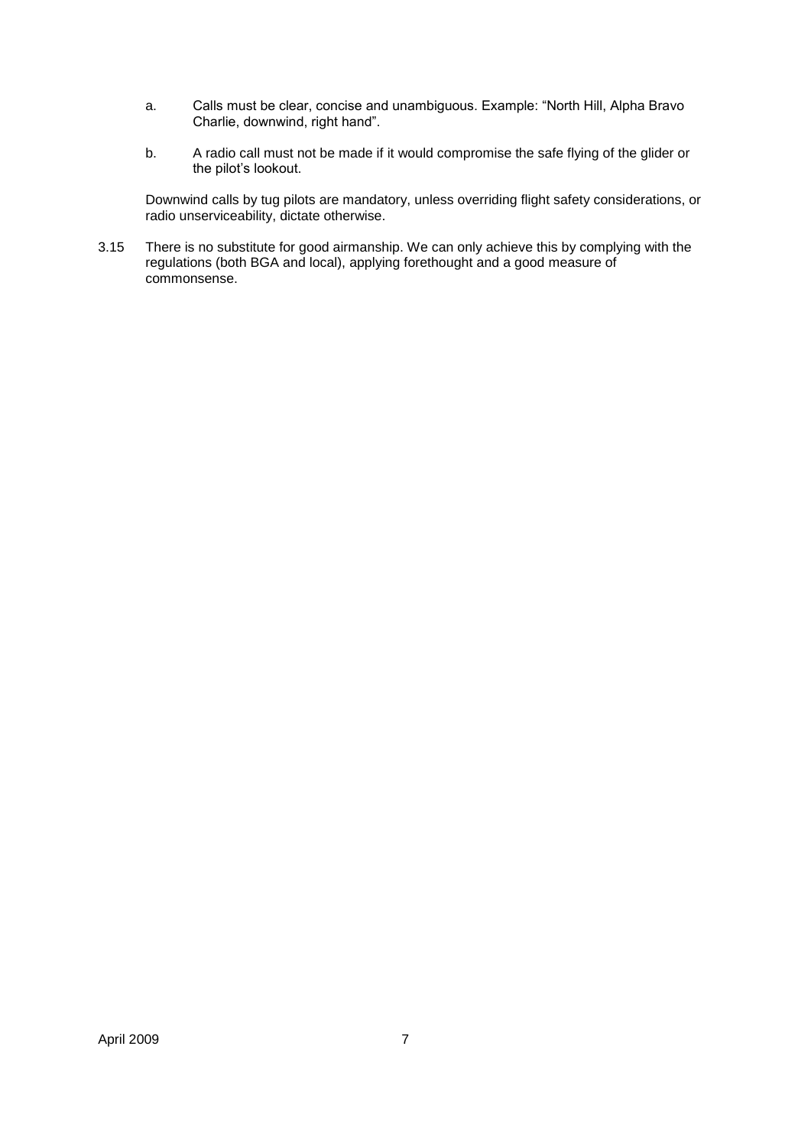- a. Calls must be clear, concise and unambiguous. Example: "North Hill, Alpha Bravo Charlie, downwind, right hand".
- b. A radio call must not be made if it would compromise the safe flying of the glider or the pilot"s lookout.

Downwind calls by tug pilots are mandatory, unless overriding flight safety considerations, or radio unserviceability, dictate otherwise.

3.15 There is no substitute for good airmanship. We can only achieve this by complying with the regulations (both BGA and local), applying forethought and a good measure of commonsense.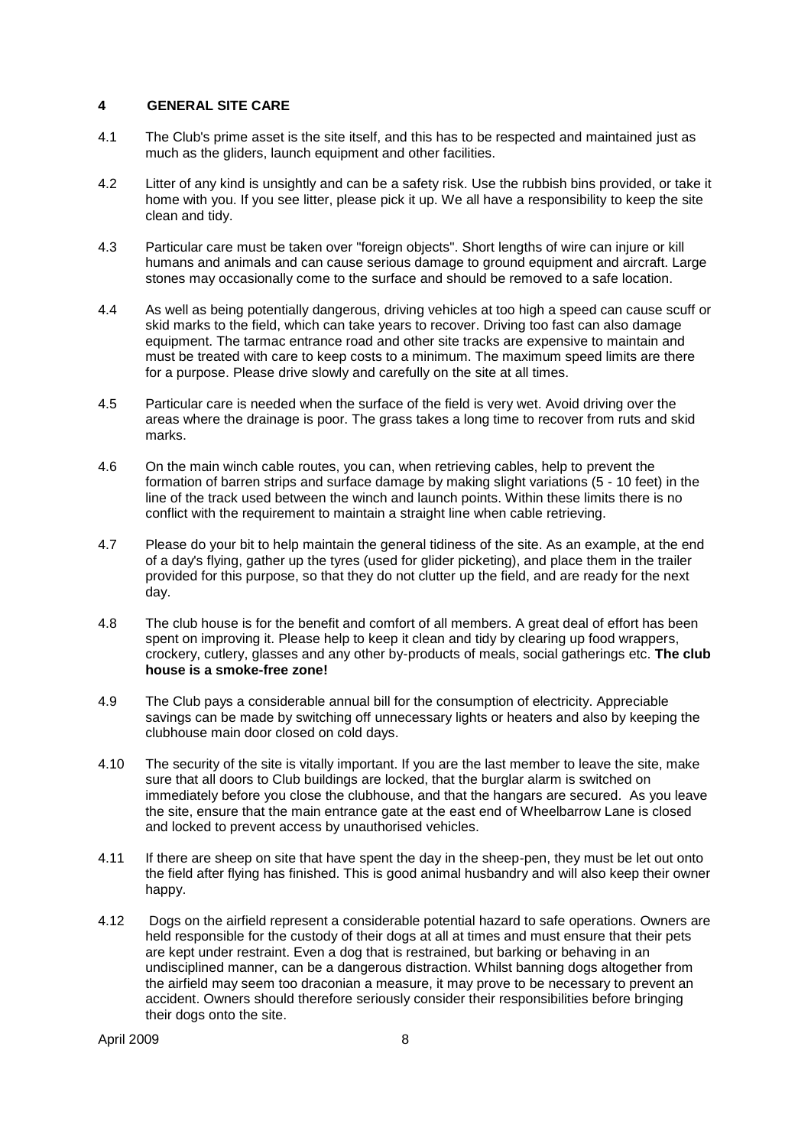#### **4 GENERAL SITE CARE**

- 4.1 The Club's prime asset is the site itself, and this has to be respected and maintained just as much as the gliders, launch equipment and other facilities.
- 4.2 Litter of any kind is unsightly and can be a safety risk*.* Use the rubbish bins provided, or take it home with you. If you see litter, please pick it up. We all have a responsibility to keep the site clean and tidy.
- 4.3 Particular care must be taken over "foreign objects". Short lengths of wire can injure or kill humans and animals and can cause serious damage to ground equipment and aircraft. Large stones may occasionally come to the surface and should be removed to a safe location.
- 4.4 As well as being potentially dangerous, driving vehicles at too high a speed can cause scuff or skid marks to the field, which can take years to recover. Driving too fast can also damage equipment. The tarmac entrance road and other site tracks are expensive to maintain and must be treated with care to keep costs to a minimum. The maximum speed limits are there for a purpose. Please drive slowly and carefully on the site at all times.
- 4.5 Particular care is needed when the surface of the field is very wet. Avoid driving over the areas where the drainage is poor. The grass takes a long time to recover from ruts and skid marks.
- 4.6 On the main winch cable routes, you can, when retrieving cables, help to prevent the formation of barren strips and surface damage by making slight variations (5 - 10 feet) in the line of the track used between the winch and launch points. Within these limits there is no conflict with the requirement to maintain a straight line when cable retrieving.
- 4.7 Please do your bit to help maintain the general tidiness of the site. As an example, at the end of a day's flying, gather up the tyres (used for glider picketing), and place them in the trailer provided for this purpose, so that they do not clutter up the field, and are ready for the next day.
- 4.8 The club house is for the benefit and comfort of all members. A great deal of effort has been spent on improving it. Please help to keep it clean and tidy by clearing up food wrappers, crockery, cutlery, glasses and any other by-products of meals, social gatherings etc. **The club house is a smoke-free zone!**
- 4.9 The Club pays a considerable annual bill for the consumption of electricity. Appreciable savings can be made by switching off unnecessary lights or heaters and also by keeping the clubhouse main door closed on cold days.
- 4.10 The security of the site is vitally important. If you are the last member to leave the site, make sure that all doors to Club buildings are locked, that the burglar alarm is switched on immediately before you close the clubhouse, and that the hangars are secured. As you leave the site, ensure that the main entrance gate at the east end of Wheelbarrow Lane is closed and locked to prevent access by unauthorised vehicles.
- 4.11 If there are sheep on site that have spent the day in the sheep-pen, they must be let out onto the field after flying has finished. This is good animal husbandry and will also keep their owner happy.
- 4.12 Dogs on the airfield represent a considerable potential hazard to safe operations. Owners are held responsible for the custody of their dogs at all at times and must ensure that their pets are kept under restraint. Even a dog that is restrained, but barking or behaving in an undisciplined manner, can be a dangerous distraction. Whilst banning dogs altogether from the airfield may seem too draconian a measure, it may prove to be necessary to prevent an accident. Owners should therefore seriously consider their responsibilities before bringing their dogs onto the site.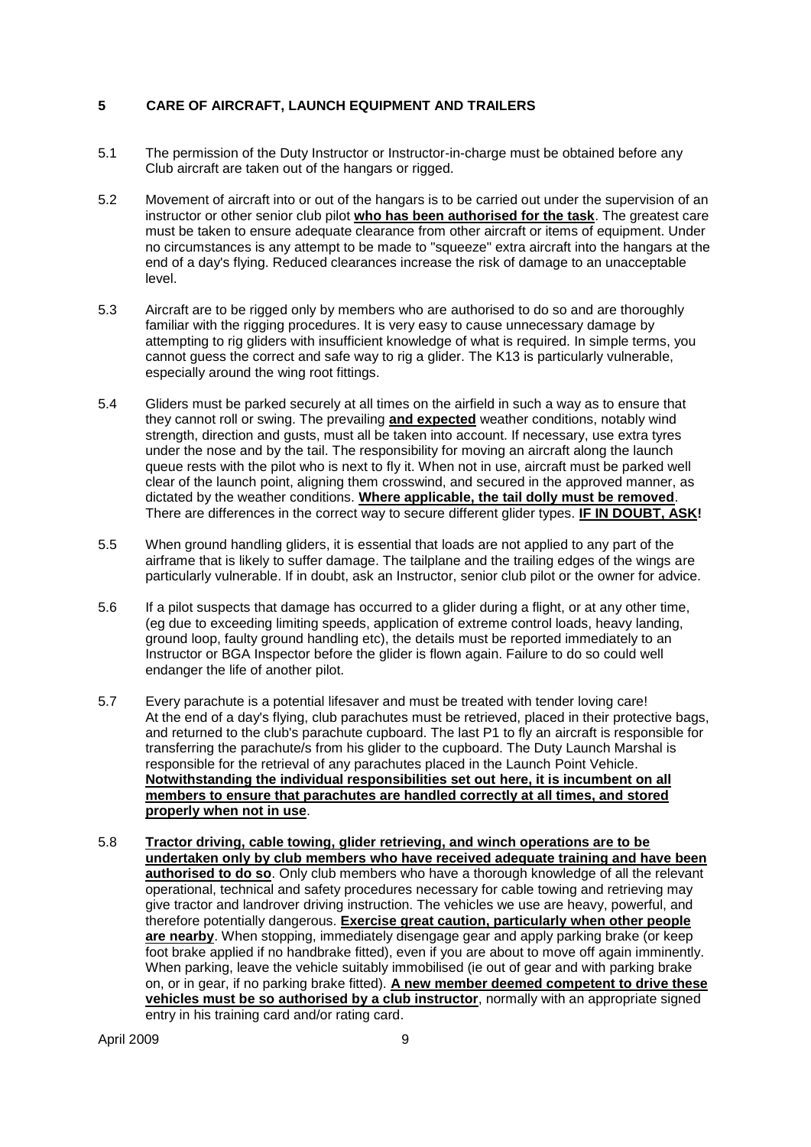#### **5 CARE OF AIRCRAFT, LAUNCH EQUIPMENT AND TRAILERS**

- 5.1 The permission of the Duty Instructor or Instructor-in-charge must be obtained before any Club aircraft are taken out of the hangars or rigged.
- 5.2 Movement of aircraft into or out of the hangars is to be carried out under the supervision of an instructor or other senior club pilot **who has been authorised for the task**. The greatest care must be taken to ensure adequate clearance from other aircraft or items of equipment. Under no circumstances is any attempt to be made to "squeeze" extra aircraft into the hangars at the end of a day's flying. Reduced clearances increase the risk of damage to an unacceptable level.
- 5.3 Aircraft are to be rigged only by members who are authorised to do so and are thoroughly familiar with the rigging procedures. It is very easy to cause unnecessary damage by attempting to rig gliders with insufficient knowledge of what is required. In simple terms, you cannot guess the correct and safe way to rig a glider. The K13 is particularly vulnerable, especially around the wing root fittings.
- 5.4 Gliders must be parked securely at all times on the airfield in such a way as to ensure that they cannot roll or swing. The prevailing **and expected** weather conditions, notably wind strength, direction and gusts, must all be taken into account. If necessary, use extra tyres under the nose and by the tail. The responsibility for moving an aircraft along the launch queue rests with the pilot who is next to fly it. When not in use, aircraft must be parked well clear of the launch point, aligning them crosswind, and secured in the approved manner, as dictated by the weather conditions. **Where applicable, the tail dolly must be removed**. There are differences in the correct way to secure different glider types. **IF IN DOUBT, ASK!**
- 5.5 When ground handling gliders, it is essential that loads are not applied to any part of the airframe that is likely to suffer damage. The tailplane and the trailing edges of the wings are particularly vulnerable. If in doubt, ask an Instructor, senior club pilot or the owner for advice.
- 5.6 If a pilot suspects that damage has occurred to a glider during a flight, or at any other time, (eg due to exceeding limiting speeds, application of extreme control loads, heavy landing, ground loop, faulty ground handling etc), the details must be reported immediately to an Instructor or BGA Inspector before the glider is flown again. Failure to do so could well endanger the life of another pilot.
- 5.7 Every parachute is a potential lifesaver and must be treated with tender loving care! At the end of a day's flying, club parachutes must be retrieved, placed in their protective bags, and returned to the club's parachute cupboard. The last P1 to fly an aircraft is responsible for transferring the parachute/s from his glider to the cupboard. The Duty Launch Marshal is responsible for the retrieval of any parachutes placed in the Launch Point Vehicle. **Notwithstanding the individual responsibilities set out here, it is incumbent on all members to ensure that parachutes are handled correctly at all times, and stored properly when not in use**.
- 5.8 **Tractor driving, cable towing, glider retrieving, and winch operations are to be undertaken only by club members who have received adequate training and have been authorised to do so**. Only club members who have a thorough knowledge of all the relevant operational, technical and safety procedures necessary for cable towing and retrieving may give tractor and landrover driving instruction. The vehicles we use are heavy, powerful, and therefore potentially dangerous. **Exercise great caution, particularly when other people are nearby**. When stopping, immediately disengage gear and apply parking brake (or keep foot brake applied if no handbrake fitted), even if you are about to move off again imminently. When parking, leave the vehicle suitably immobilised (ie out of gear and with parking brake on, or in gear, if no parking brake fitted). **A new member deemed competent to drive these**  vehicles must be so authorised by a club instructor, normally with an appropriate signed entry in his training card and/or rating card.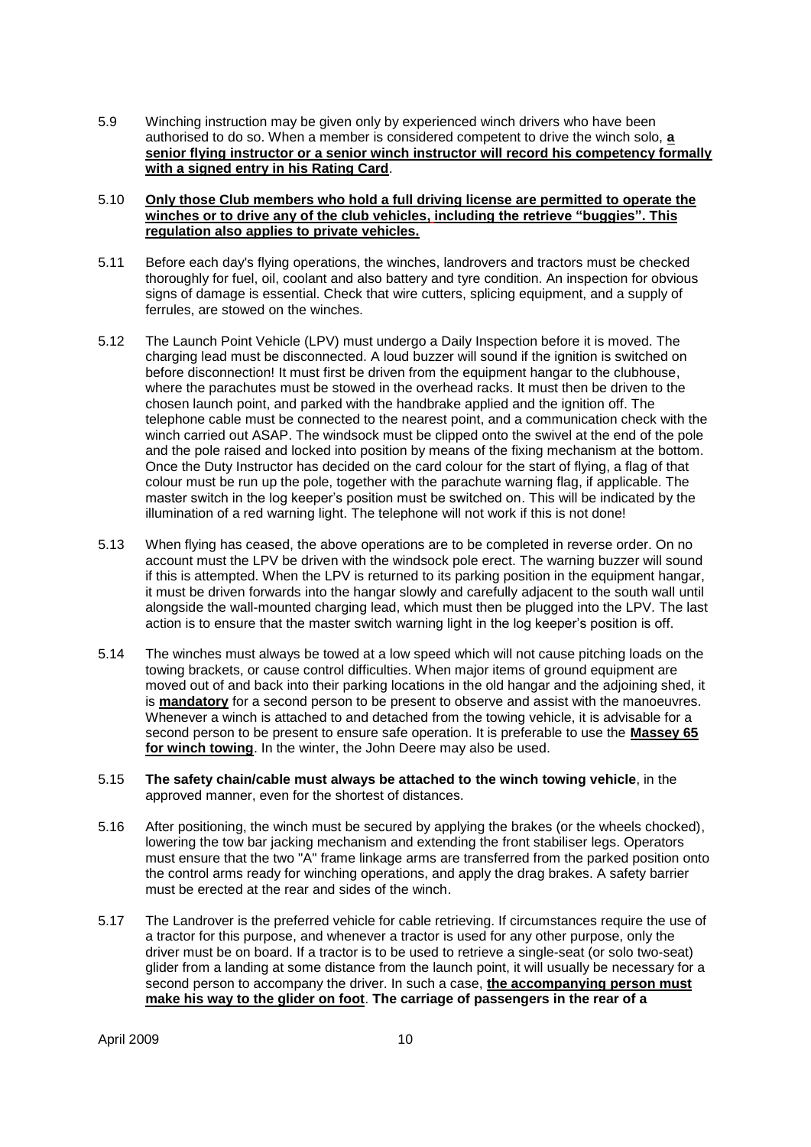5.9 Winching instruction may be given only by experienced winch drivers who have been authorised to do so. When a member is considered competent to drive the winch solo, **a senior flying instructor or a senior winch instructor will record his competency formally with a signed entry in his Rating Card**.

#### 5.10 **Only those Club members who hold a full driving license are permitted to operate the winches or to drive any of the club vehicles, including the retrieve "buggies". This regulation also applies to private vehicles.**

- 5.11 Before each day's flying operations, the winches, landrovers and tractors must be checked thoroughly for fuel, oil, coolant and also battery and tyre condition. An inspection for obvious signs of damage is essential. Check that wire cutters, splicing equipment, and a supply of ferrules, are stowed on the winches.
- 5.12 The Launch Point Vehicle (LPV) must undergo a Daily Inspection before it is moved. The charging lead must be disconnected. A loud buzzer will sound if the ignition is switched on before disconnection! It must first be driven from the equipment hangar to the clubhouse, where the parachutes must be stowed in the overhead racks. It must then be driven to the chosen launch point, and parked with the handbrake applied and the ignition off. The telephone cable must be connected to the nearest point, and a communication check with the winch carried out ASAP. The windsock must be clipped onto the swivel at the end of the pole and the pole raised and locked into position by means of the fixing mechanism at the bottom. Once the Duty Instructor has decided on the card colour for the start of flying, a flag of that colour must be run up the pole, together with the parachute warning flag, if applicable. The master switch in the log keeper"s position must be switched on. This will be indicated by the illumination of a red warning light. The telephone will not work if this is not done!
- 5.13 When flying has ceased, the above operations are to be completed in reverse order. On no account must the LPV be driven with the windsock pole erect. The warning buzzer will sound if this is attempted. When the LPV is returned to its parking position in the equipment hangar, it must be driven forwards into the hangar slowly and carefully adjacent to the south wall until alongside the wall-mounted charging lead, which must then be plugged into the LPV. The last action is to ensure that the master switch warning light in the log keeper"s position is off.
- 5.14 The winches must always be towed at a low speed which will not cause pitching loads on the towing brackets, or cause control difficulties. When major items of ground equipment are moved out of and back into their parking locations in the old hangar and the adjoining shed, it is **mandatory** for a second person to be present to observe and assist with the manoeuvres. Whenever a winch is attached to and detached from the towing vehicle, it is advisable for a second person to be present to ensure safe operation. It is preferable to use the **Massey 65 for winch towing**. In the winter, the John Deere may also be used.
- 5.15 **The safety chain/cable must always be attached to the winch towing vehicle**, in the approved manner, even for the shortest of distances.
- 5.16 After positioning, the winch must be secured by applying the brakes (or the wheels chocked), lowering the tow bar jacking mechanism and extending the front stabiliser legs. Operators must ensure that the two "A" frame linkage arms are transferred from the parked position onto the control arms ready for winching operations, and apply the drag brakes. A safety barrier must be erected at the rear and sides of the winch.
- 5.17 The Landrover is the preferred vehicle for cable retrieving. If circumstances require the use of a tractor for this purpose, and whenever a tractor is used for any other purpose, only the driver must be on board. If a tractor is to be used to retrieve a single-seat (or solo two-seat) glider from a landing at some distance from the launch point, it will usually be necessary for a second person to accompany the driver. In such a case, **the accompanying person must make his way to the glider on foot**. **The carriage of passengers in the rear of a**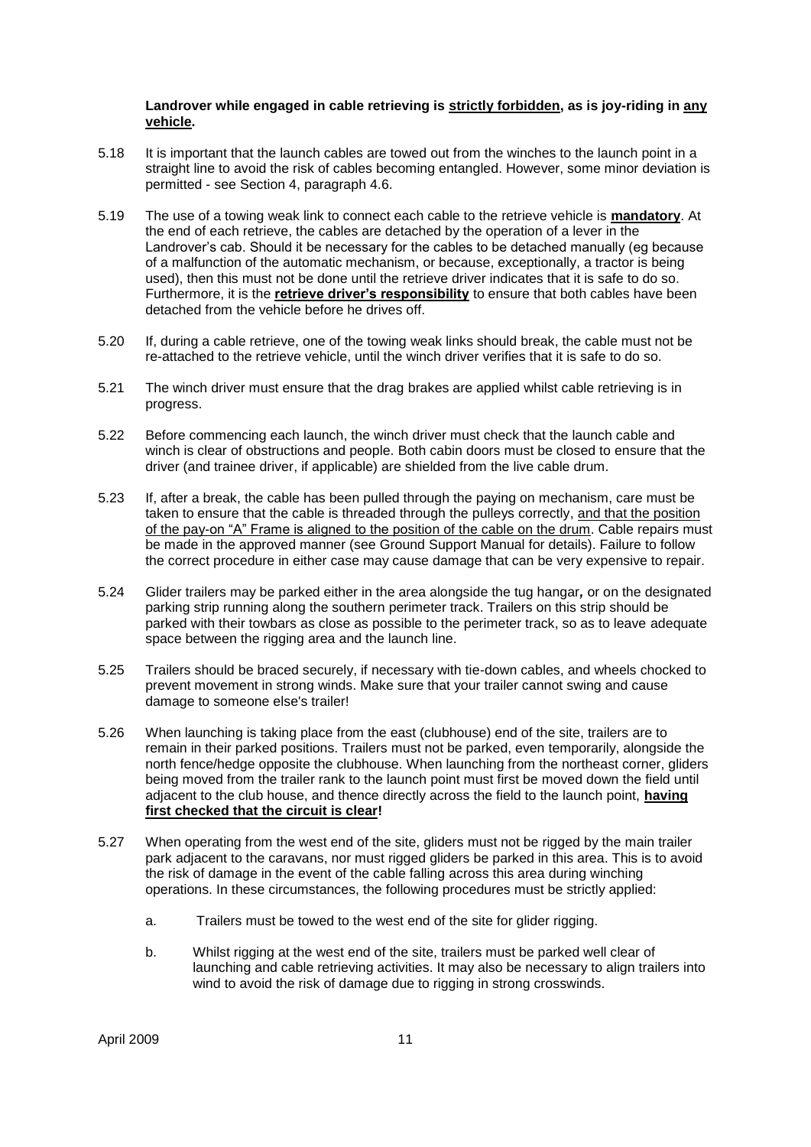#### **Landrover while engaged in cable retrieving is strictly forbidden, as is joy-riding in any vehicle.**

- 5.18 It is important that the launch cables are towed out from the winches to the launch point in a straight line to avoid the risk of cables becoming entangled. However, some minor deviation is permitted - see Section 4, paragraph 4.6.
- 5.19 The use of a towing weak link to connect each cable to the retrieve vehicle is **mandatory**. At the end of each retrieve, the cables are detached by the operation of a lever in the Landrover's cab. Should it be necessary for the cables to be detached manually (eg because of a malfunction of the automatic mechanism, or because, exceptionally, a tractor is being used), then this must not be done until the retrieve driver indicates that it is safe to do so. Furthermore, it is the **retrieve driver"s responsibility** to ensure that both cables have been detached from the vehicle before he drives off.
- 5.20 If, during a cable retrieve, one of the towing weak links should break, the cable must not be re-attached to the retrieve vehicle, until the winch driver verifies that it is safe to do so.
- 5.21 The winch driver must ensure that the drag brakes are applied whilst cable retrieving is in progress.
- 5.22 Before commencing each launch, the winch driver must check that the launch cable and winch is clear of obstructions and people. Both cabin doors must be closed to ensure that the driver (and trainee driver, if applicable) are shielded from the live cable drum.
- 5.23 If, after a break, the cable has been pulled through the paying on mechanism, care must be taken to ensure that the cable is threaded through the pulleys correctly, and that the position of the pay-on "A" Frame is aligned to the position of the cable on the drum. Cable repairs must be made in the approved manner (see Ground Support Manual for details). Failure to follow the correct procedure in either case may cause damage that can be very expensive to repair.
- 5.24 Glider trailers may be parked either in the area alongside the tug hangar*,* or on the designated parking strip running along the southern perimeter track. Trailers on this strip should be parked with their towbars as close as possible to the perimeter track, so as to leave adequate space between the rigging area and the launch line.
- 5.25 Trailers should be braced securely, if necessary with tie-down cables, and wheels chocked to prevent movement in strong winds. Make sure that your trailer cannot swing and cause damage to someone else's trailer!
- 5.26 When launching is taking place from the east (clubhouse) end of the site, trailers are to remain in their parked positions. Trailers must not be parked, even temporarily, alongside the north fence/hedge opposite the clubhouse. When launching from the northeast corner, gliders being moved from the trailer rank to the launch point must first be moved down the field until adjacent to the club house, and thence directly across the field to the launch point, **having first checked that the circuit is clear!**
- 5.27 When operating from the west end of the site, gliders must not be rigged by the main trailer park adjacent to the caravans, nor must rigged gliders be parked in this area. This is to avoid the risk of damage in the event of the cable falling across this area during winching operations. In these circumstances, the following procedures must be strictly applied:
	- a. Trailers must be towed to the west end of the site for glider rigging.
	- b. Whilst rigging at the west end of the site, trailers must be parked well clear of launching and cable retrieving activities. It may also be necessary to align trailers into wind to avoid the risk of damage due to rigging in strong crosswinds.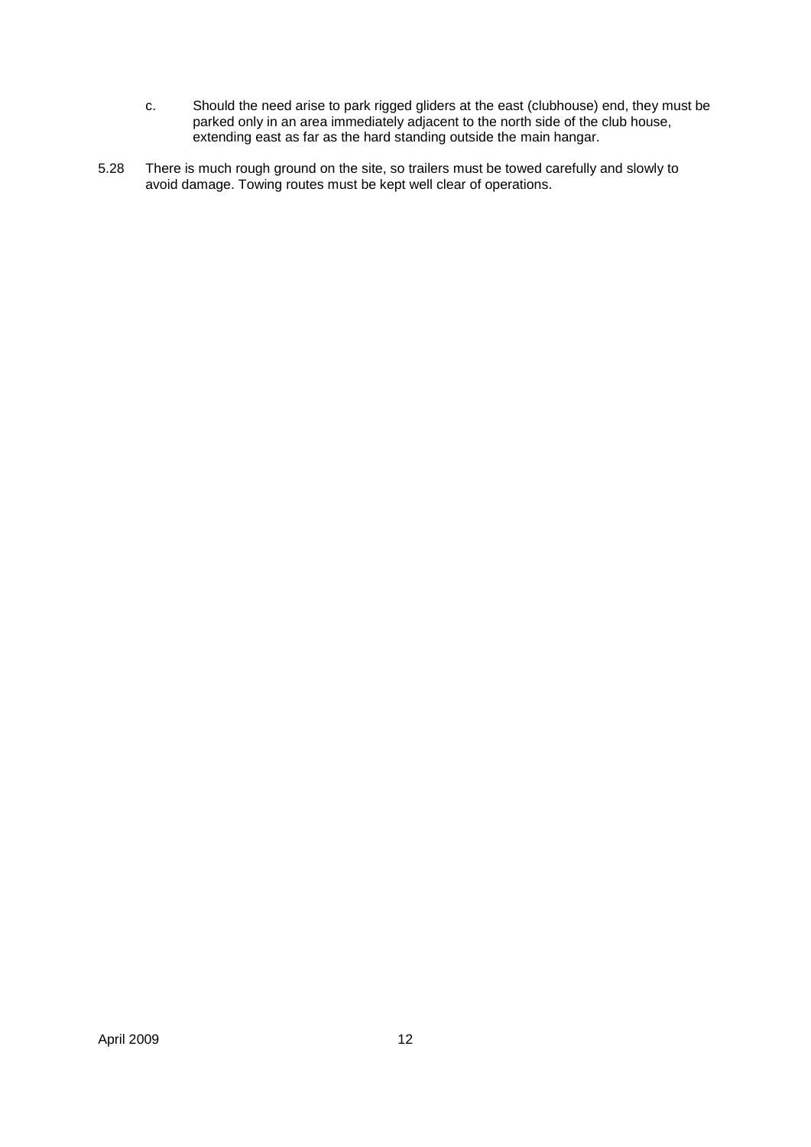- c. Should the need arise to park rigged gliders at the east (clubhouse) end, they must be parked only in an area immediately adjacent to the north side of the club house, extending east as far as the hard standing outside the main hangar.
- 5.28 There is much rough ground on the site, so trailers must be towed carefully and slowly to avoid damage. Towing routes must be kept well clear of operations.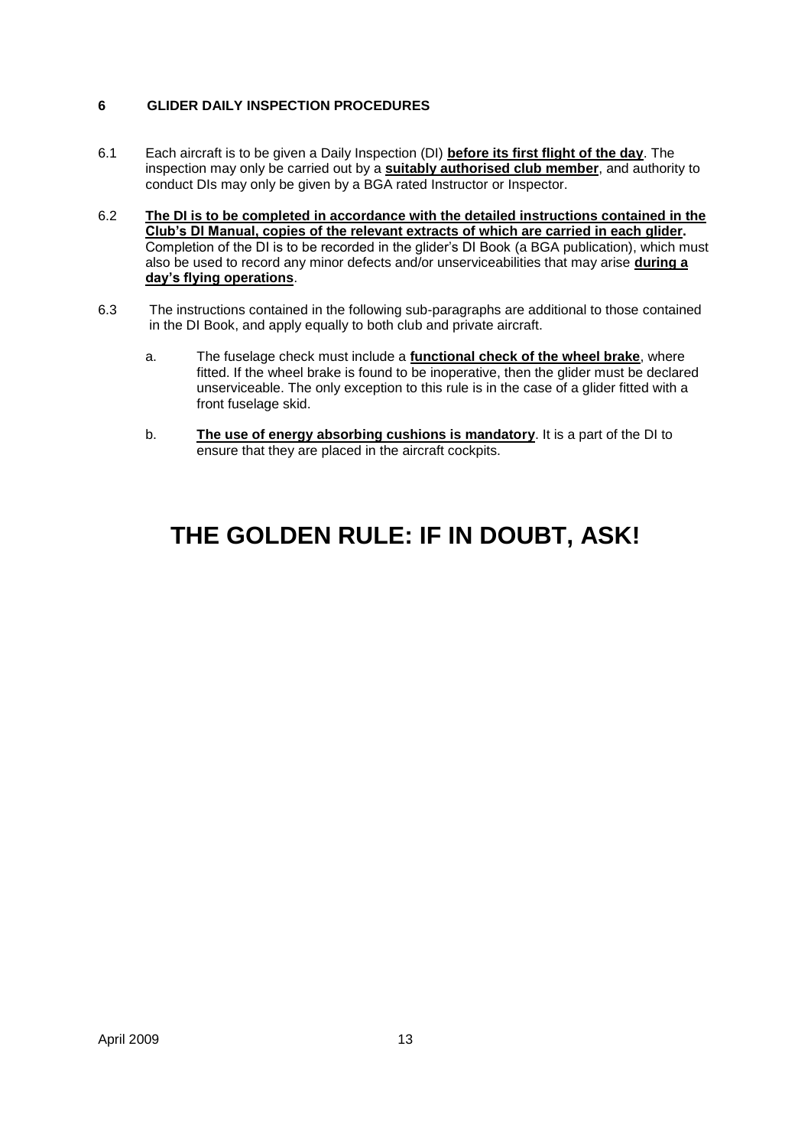#### **6 GLIDER DAILY INSPECTION PROCEDURES**

- 6.1 Each aircraft is to be given a Daily Inspection (DI) **before its first flight of the day**. The inspection may only be carried out by a **suitably authorised club member**, and authority to conduct DIs may only be given by a BGA rated Instructor or Inspector.
- 6.2 **The DI is to be completed in accordance with the detailed instructions contained in the Club"s DI Manual, copies of the relevant extracts of which are carried in each glider.** Completion of the DI is to be recorded in the glider"s DI Book (a BGA publication), which must also be used to record any minor defects and/or unserviceabilities that may arise **during a day"s flying operations**.
- 6.3 The instructions contained in the following sub-paragraphs are additional to those contained in the DI Book, and apply equally to both club and private aircraft.
	- a. The fuselage check must include a **functional check of the wheel brake**, where fitted. If the wheel brake is found to be inoperative, then the glider must be declared unserviceable. The only exception to this rule is in the case of a glider fitted with a front fuselage skid.
	- b. **The use of energy absorbing cushions is mandatory**. It is a part of the DI to ensure that they are placed in the aircraft cockpits.

## **THE GOLDEN RULE: IF IN DOUBT, ASK!**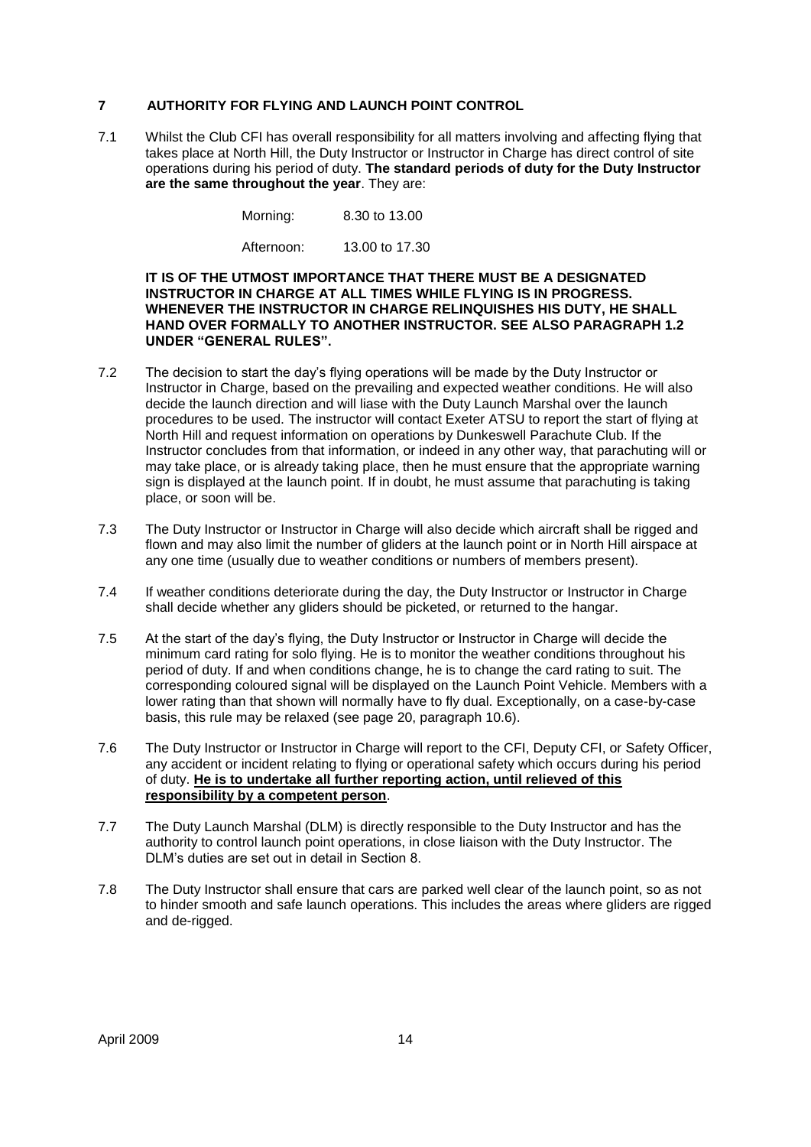#### **7 AUTHORITY FOR FLYING AND LAUNCH POINT CONTROL**

7.1 Whilst the Club CFI has overall responsibility for all matters involving and affecting flying that takes place at North Hill, the Duty Instructor or Instructor in Charge has direct control of site operations during his period of duty. **The standard periods of duty for the Duty Instructor are the same throughout the year**. They are:

Morning: 8.30 to 13.00

Afternoon: 13.00 to 17.30

#### **IT IS OF THE UTMOST IMPORTANCE THAT THERE MUST BE A DESIGNATED INSTRUCTOR IN CHARGE AT ALL TIMES WHILE FLYING IS IN PROGRESS. WHENEVER THE INSTRUCTOR IN CHARGE RELINQUISHES HIS DUTY, HE SHALL HAND OVER FORMALLY TO ANOTHER INSTRUCTOR. SEE ALSO PARAGRAPH 1.2 UNDER "GENERAL RULES".**

- 7.2 The decision to start the day"s flying operations will be made by the Duty Instructor or Instructor in Charge, based on the prevailing and expected weather conditions. He will also decide the launch direction and will liase with the Duty Launch Marshal over the launch procedures to be used. The instructor will contact Exeter ATSU to report the start of flying at North Hill and request information on operations by Dunkeswell Parachute Club. If the Instructor concludes from that information, or indeed in any other way, that parachuting will or may take place, or is already taking place, then he must ensure that the appropriate warning sign is displayed at the launch point. If in doubt, he must assume that parachuting is taking place, or soon will be.
- 7.3 The Duty Instructor or Instructor in Charge will also decide which aircraft shall be rigged and flown and may also limit the number of gliders at the launch point or in North Hill airspace at any one time (usually due to weather conditions or numbers of members present).
- 7.4 If weather conditions deteriorate during the day, the Duty Instructor or Instructor in Charge shall decide whether any gliders should be picketed, or returned to the hangar.
- 7.5 At the start of the day"s flying, the Duty Instructor or Instructor in Charge will decide the minimum card rating for solo flying. He is to monitor the weather conditions throughout his period of duty. If and when conditions change, he is to change the card rating to suit. The corresponding coloured signal will be displayed on the Launch Point Vehicle. Members with a lower rating than that shown will normally have to fly dual. Exceptionally, on a case-by-case basis, this rule may be relaxed (see page 20, paragraph 10.6).
- 7.6 The Duty Instructor or Instructor in Charge will report to the CFI, Deputy CFI, or Safety Officer, any accident or incident relating to flying or operational safety which occurs during his period of duty. **He is to undertake all further reporting action, until relieved of this responsibility by a competent person**.
- 7.7 The Duty Launch Marshal (DLM) is directly responsible to the Duty Instructor and has the authority to control launch point operations, in close liaison with the Duty Instructor. The DLM"s duties are set out in detail in Section 8.
- 7.8 The Duty Instructor shall ensure that cars are parked well clear of the launch point, so as not to hinder smooth and safe launch operations. This includes the areas where gliders are rigged and de-rigged.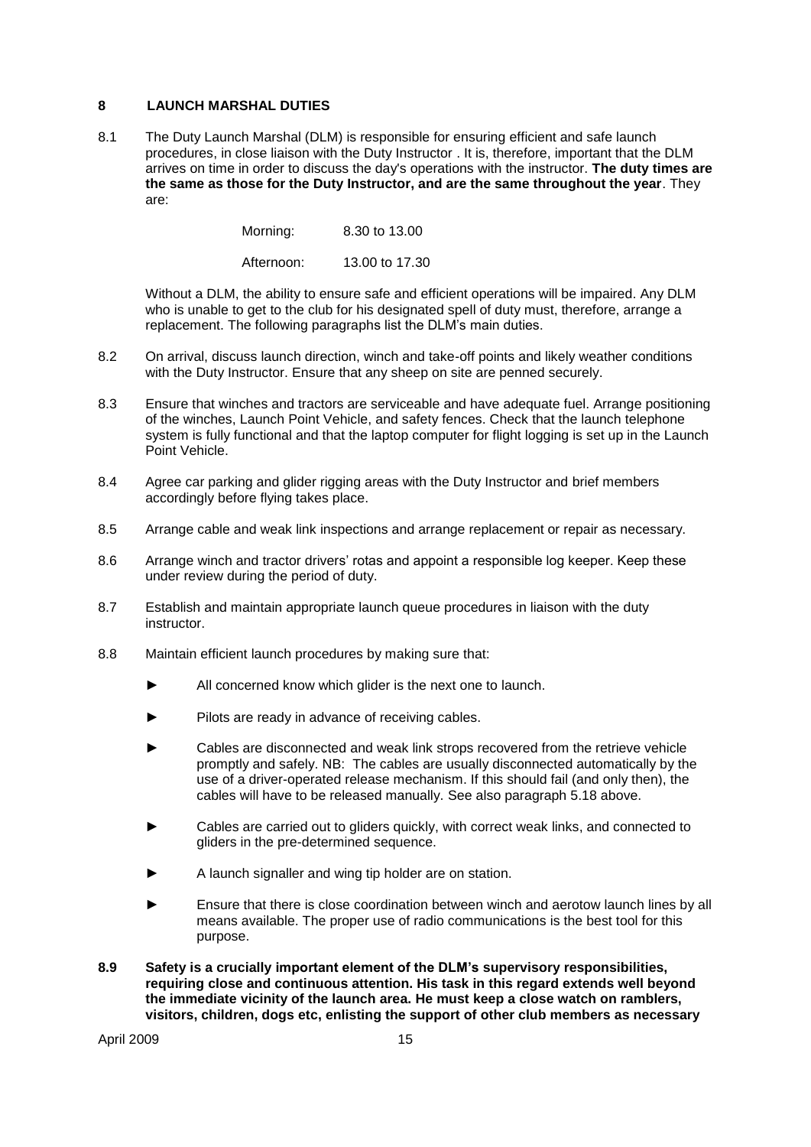#### **8 LAUNCH MARSHAL DUTIES**

8.1 The Duty Launch Marshal (DLM) is responsible for ensuring efficient and safe launch procedures, in close liaison with the Duty Instructor . It is, therefore, important that the DLM arrives on time in order to discuss the day's operations with the instructor. **The duty times are the same as those for the Duty Instructor, and are the same throughout the year**. They are:

Morning: 8.30 to 13.00

Afternoon: 13.00 to 17.30

Without a DLM, the ability to ensure safe and efficient operations will be impaired. Any DLM who is unable to get to the club for his designated spell of duty must, therefore, arrange a replacement. The following paragraphs list the DLM"s main duties.

- 8.2 On arrival, discuss launch direction, winch and take-off points and likely weather conditions with the Duty Instructor. Ensure that any sheep on site are penned securely.
- 8.3 Ensure that winches and tractors are serviceable and have adequate fuel. Arrange positioning of the winches, Launch Point Vehicle, and safety fences. Check that the launch telephone system is fully functional and that the laptop computer for flight logging is set up in the Launch Point Vehicle.
- 8.4 Agree car parking and glider rigging areas with the Duty Instructor and brief members accordingly before flying takes place.
- 8.5 Arrange cable and weak link inspections and arrange replacement or repair as necessary.
- 8.6 Arrange winch and tractor drivers" rotas and appoint a responsible log keeper. Keep these under review during the period of duty.
- 8.7 Establish and maintain appropriate launch queue procedures in liaison with the duty instructor.
- 8.8 Maintain efficient launch procedures by making sure that:
	- All concerned know which glider is the next one to launch.
	- Pilots are ready in advance of receiving cables.
	- Cables are disconnected and weak link strops recovered from the retrieve vehicle promptly and safely. NB: The cables are usually disconnected automatically by the use of a driver-operated release mechanism. If this should fail (and only then), the cables will have to be released manually. See also paragraph 5.18 above.
	- Cables are carried out to gliders quickly, with correct weak links, and connected to gliders in the pre-determined sequence.
	- A launch signaller and wing tip holder are on station.
	- Ensure that there is close coordination between winch and aerotow launch lines by all means available. The proper use of radio communications is the best tool for this purpose.
- **8.9 Safety is a crucially important element of the DLM"s supervisory responsibilities, requiring close and continuous attention. His task in this regard extends well beyond the immediate vicinity of the launch area. He must keep a close watch on ramblers, visitors, children, dogs etc, enlisting the support of other club members as necessary**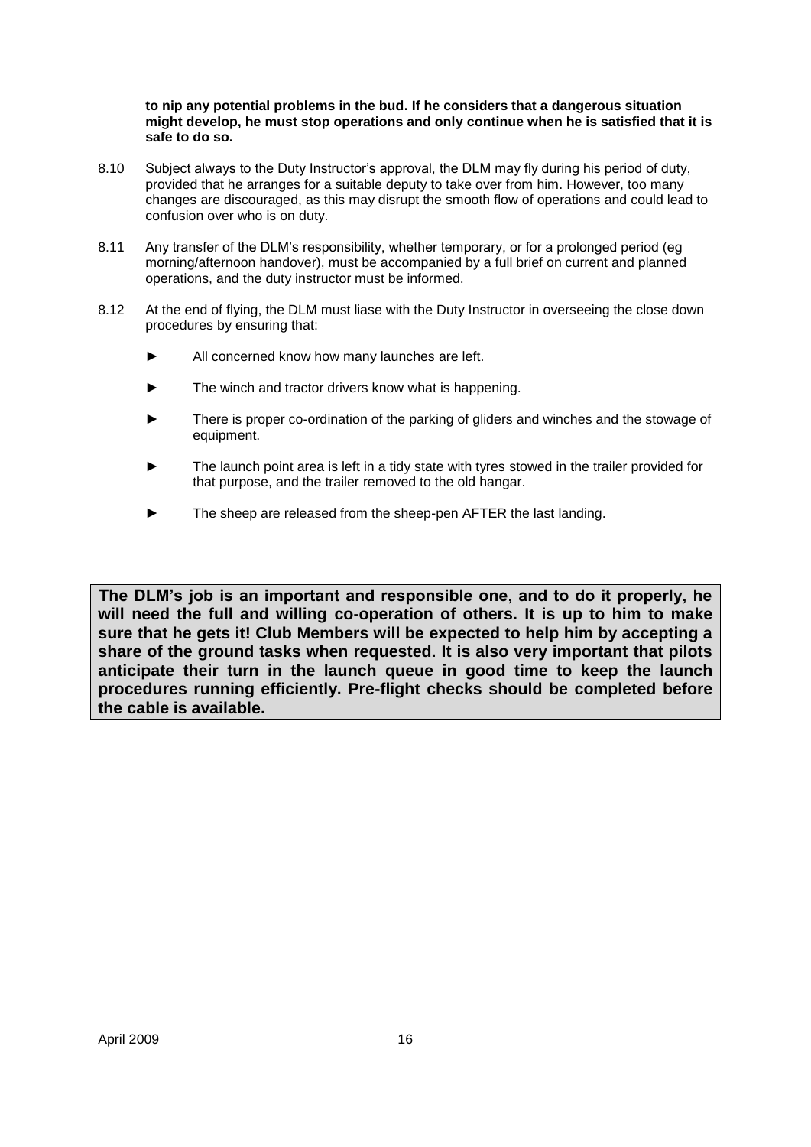#### **to nip any potential problems in the bud. If he considers that a dangerous situation might develop, he must stop operations and only continue when he is satisfied that it is safe to do so.**

- 8.10 Subject always to the Duty Instructor's approval, the DLM may fly during his period of duty, provided that he arranges for a suitable deputy to take over from him. However, too many changes are discouraged, as this may disrupt the smooth flow of operations and could lead to confusion over who is on duty.
- 8.11 Any transfer of the DLM"s responsibility, whether temporary, or for a prolonged period (eg morning/afternoon handover), must be accompanied by a full brief on current and planned operations, and the duty instructor must be informed.
- 8.12 At the end of flying, the DLM must liase with the Duty Instructor in overseeing the close down procedures by ensuring that:
	- All concerned know how many launches are left.
	- The winch and tractor drivers know what is happening.
	- There is proper co-ordination of the parking of gliders and winches and the stowage of equipment.
	- The launch point area is left in a tidy state with tyres stowed in the trailer provided for that purpose, and the trailer removed to the old hangar.
	- The sheep are released from the sheep-pen AFTER the last landing.

**The DLM"s job is an important and responsible one, and to do it properly, he will need the full and willing co-operation of others. It is up to him to make sure that he gets it! Club Members will be expected to help him by accepting a share of the ground tasks when requested. It is also very important that pilots anticipate their turn in the launch queue in good time to keep the launch procedures running efficiently. Pre-flight checks should be completed before the cable is available.**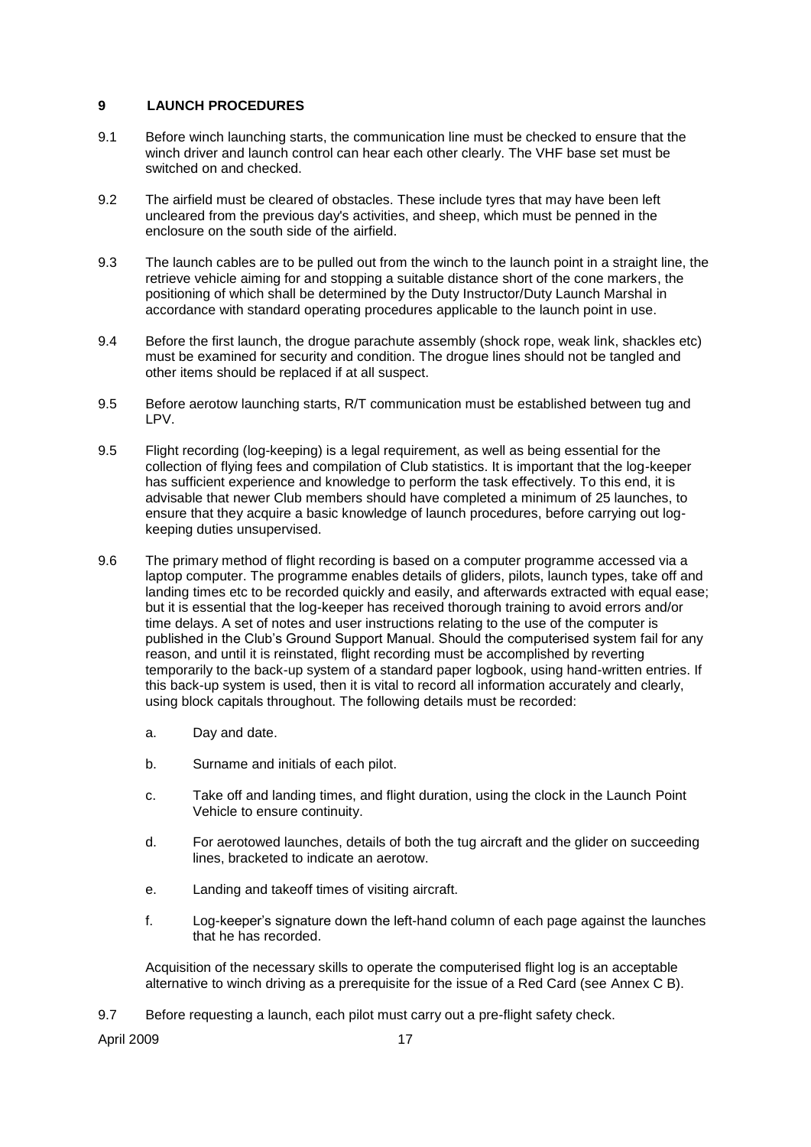#### **9 LAUNCH PROCEDURES**

- 9.1 Before winch launching starts, the communication line must be checked to ensure that the winch driver and launch control can hear each other clearly. The VHF base set must be switched on and checked.
- 9.2 The airfield must be cleared of obstacles. These include tyres that may have been left uncleared from the previous day's activities, and sheep, which must be penned in the enclosure on the south side of the airfield.
- 9.3 The launch cables are to be pulled out from the winch to the launch point in a straight line, the retrieve vehicle aiming for and stopping a suitable distance short of the cone markers, the positioning of which shall be determined by the Duty Instructor/Duty Launch Marshal in accordance with standard operating procedures applicable to the launch point in use.
- 9.4 Before the first launch, the drogue parachute assembly (shock rope, weak link, shackles etc) must be examined for security and condition. The drogue lines should not be tangled and other items should be replaced if at all suspect.
- 9.5 Before aerotow launching starts, R/T communication must be established between tug and LPV.
- 9.5 Flight recording (log-keeping) is a legal requirement, as well as being essential for the collection of flying fees and compilation of Club statistics. It is important that the log-keeper has sufficient experience and knowledge to perform the task effectively. To this end, it is advisable that newer Club members should have completed a minimum of 25 launches, to ensure that they acquire a basic knowledge of launch procedures, before carrying out logkeeping duties unsupervised.
- 9.6 The primary method of flight recording is based on a computer programme accessed via a laptop computer. The programme enables details of gliders, pilots, launch types, take off and landing times etc to be recorded quickly and easily, and afterwards extracted with equal ease; but it is essential that the log-keeper has received thorough training to avoid errors and/or time delays. A set of notes and user instructions relating to the use of the computer is published in the Club"s Ground Support Manual. Should the computerised system fail for any reason, and until it is reinstated, flight recording must be accomplished by reverting temporarily to the back-up system of a standard paper logbook, using hand-written entries. If this back-up system is used, then it is vital to record all information accurately and clearly, using block capitals throughout. The following details must be recorded:
	- a. Day and date.
	- b. Surname and initials of each pilot.
	- c. Take off and landing times, and flight duration, using the clock in the Launch Point Vehicle to ensure continuity.
	- d. For aerotowed launches, details of both the tug aircraft and the glider on succeeding lines, bracketed to indicate an aerotow.
	- e. Landing and takeoff times of visiting aircraft.
	- f. Log-keeper"s signature down the left-hand column of each page against the launches that he has recorded.

Acquisition of the necessary skills to operate the computerised flight log is an acceptable alternative to winch driving as a prerequisite for the issue of a Red Card (see Annex C B).

9.7 Before requesting a launch, each pilot must carry out a pre-flight safety check.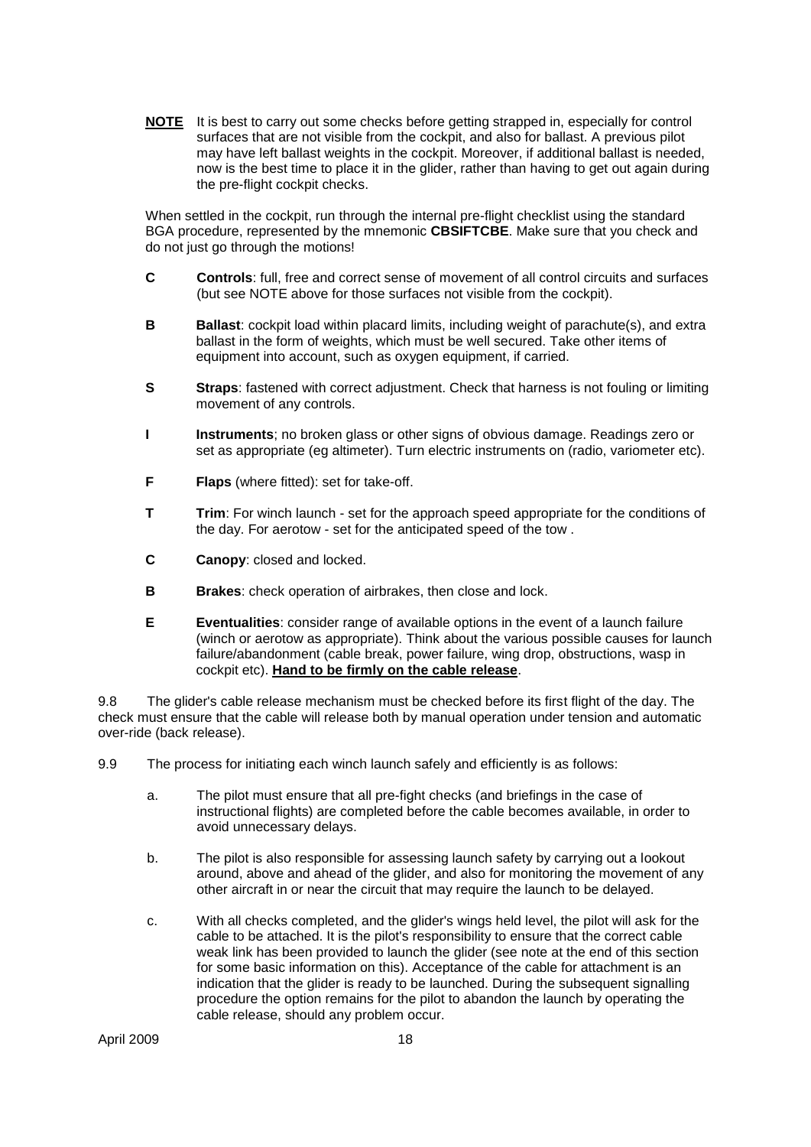**NOTE** It is best to carry out some checks before getting strapped in, especially for control surfaces that are not visible from the cockpit, and also for ballast. A previous pilot may have left ballast weights in the cockpit. Moreover, if additional ballast is needed, now is the best time to place it in the glider, rather than having to get out again during the pre-flight cockpit checks.

When settled in the cockpit, run through the internal pre-flight checklist using the standard BGA procedure, represented by the mnemonic **CBSIFTCBE**. Make sure that you check and do not just go through the motions!

- **C Controls**: full, free and correct sense of movement of all control circuits and surfaces (but see NOTE above for those surfaces not visible from the cockpit).
- **B Ballast:** cockpit load within placard limits, including weight of parachute(s), and extra ballast in the form of weights, which must be well secured. Take other items of equipment into account, such as oxygen equipment, if carried.
- **S Straps**: fastened with correct adjustment. Check that harness is not fouling or limiting movement of any controls.
- **I Instruments**; no broken glass or other signs of obvious damage. Readings zero or set as appropriate (eg altimeter). Turn electric instruments on (radio, variometer etc).
- **F Flaps** (where fitted): set for take-off.
- **T Trim**: For winch launch set for the approach speed appropriate for the conditions of the day. For aerotow - set for the anticipated speed of the tow .
- **C Canopy**: closed and locked.
- **B Brakes**: check operation of airbrakes, then close and lock.
- **E Eventualities**: consider range of available options in the event of a launch failure (winch or aerotow as appropriate). Think about the various possible causes for launch failure/abandonment (cable break, power failure, wing drop, obstructions, wasp in cockpit etc). **Hand to be firmly on the cable release**.

9.8 The glider's cable release mechanism must be checked before its first flight of the day. The check must ensure that the cable will release both by manual operation under tension and automatic over-ride (back release).

- 9.9 The process for initiating each winch launch safely and efficiently is as follows:
	- a. The pilot must ensure that all pre-fight checks (and briefings in the case of instructional flights) are completed before the cable becomes available, in order to avoid unnecessary delays.
	- b. The pilot is also responsible for assessing launch safety by carrying out a lookout around, above and ahead of the glider, and also for monitoring the movement of any other aircraft in or near the circuit that may require the launch to be delayed.
	- c. With all checks completed, and the glider's wings held level, the pilot will ask for the cable to be attached. It is the pilot's responsibility to ensure that the correct cable weak link has been provided to launch the glider (see note at the end of this section for some basic information on this). Acceptance of the cable for attachment is an indication that the glider is ready to be launched. During the subsequent signalling procedure the option remains for the pilot to abandon the launch by operating the cable release, should any problem occur.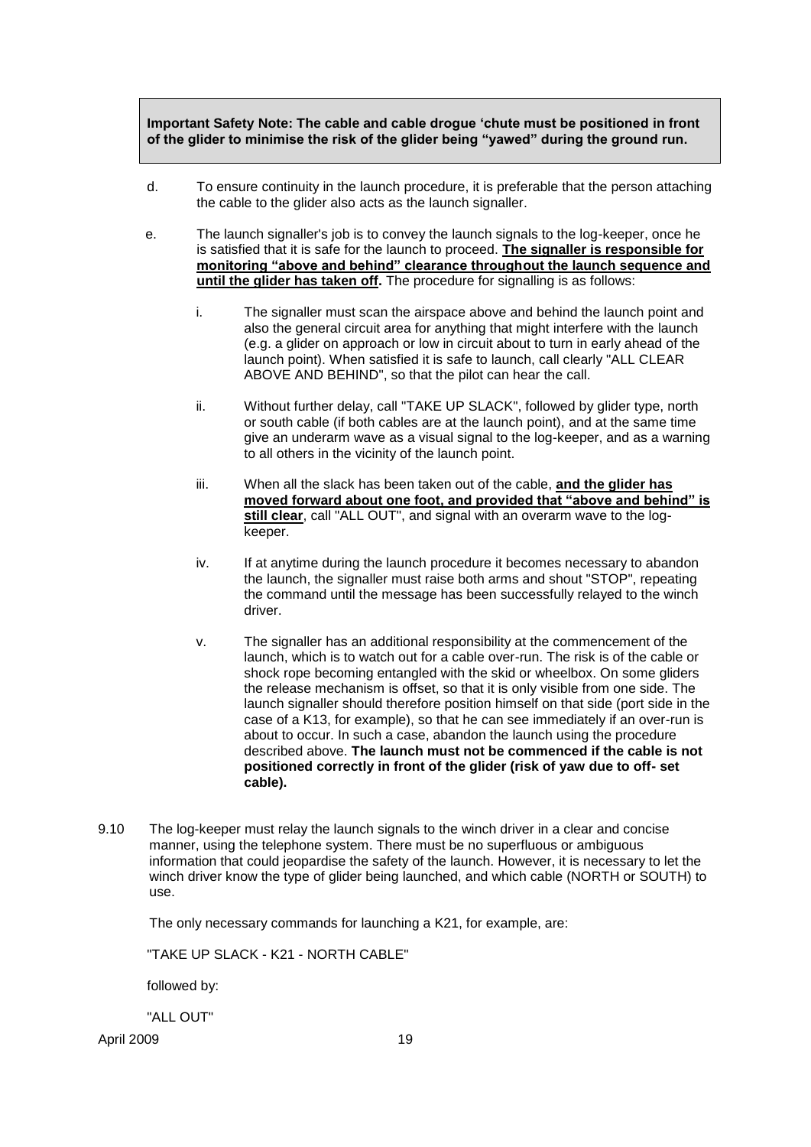**Important Safety Note: The cable and cable drogue "chute must be positioned in front of the glider to minimise the risk of the glider being "yawed" during the ground run.** 

- d. To ensure continuity in the launch procedure, it is preferable that the person attaching the cable to the glider also acts as the launch signaller.
- e. The launch signaller's job is to convey the launch signals to the log-keeper, once he is satisfied that it is safe for the launch to proceed. **The signaller is responsible for monitoring "above and behind" clearance throughout the launch sequence and until the glider has taken off.** The procedure for signalling is as follows:
	- i. The signaller must scan the airspace above and behind the launch point and also the general circuit area for anything that might interfere with the launch (e.g. a glider on approach or low in circuit about to turn in early ahead of the launch point). When satisfied it is safe to launch, call clearly "ALL CLEAR ABOVE AND BEHIND", so that the pilot can hear the call.
	- ii. Without further delay, call "TAKE UP SLACK", followed by glider type, north or south cable (if both cables are at the launch point), and at the same time give an underarm wave as a visual signal to the log-keeper, and as a warning to all others in the vicinity of the launch point.
	- iii. When all the slack has been taken out of the cable, **and the glider has moved forward about one foot, and provided that "above and behind" is still clear**, call "ALL OUT", and signal with an overarm wave to the logkeeper.
	- iv. If at anytime during the launch procedure it becomes necessary to abandon the launch, the signaller must raise both arms and shout "STOP", repeating the command until the message has been successfully relayed to the winch driver.
	- v. The signaller has an additional responsibility at the commencement of the launch, which is to watch out for a cable over-run. The risk is of the cable or shock rope becoming entangled with the skid or wheelbox. On some gliders the release mechanism is offset, so that it is only visible from one side. The launch signaller should therefore position himself on that side (port side in the case of a K13, for example), so that he can see immediately if an over-run is about to occur. In such a case, abandon the launch using the procedure described above. **The launch must not be commenced if the cable is not positioned correctly in front of the glider (risk of yaw due to off- set cable).**
- 9.10 The log-keeper must relay the launch signals to the winch driver in a clear and concise manner, using the telephone system. There must be no superfluous or ambiguous information that could jeopardise the safety of the launch. However, it is necessary to let the winch driver know the type of glider being launched, and which cable (NORTH or SOUTH) to use.

The only necessary commands for launching a K21, for example, are:

"TAKE UP SLACK - K21 - NORTH CABLE"

followed by:

"ALL OUT"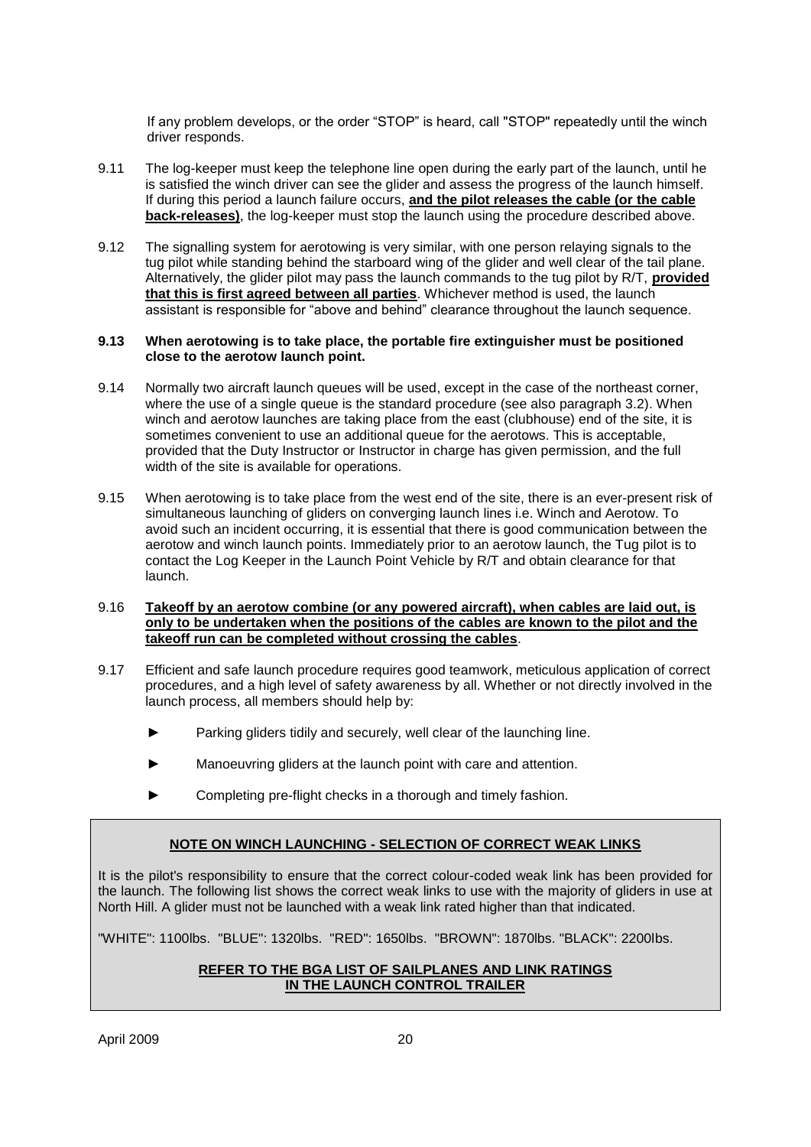If any problem develops, or the order "STOP" is heard, call "STOP" repeatedly until the winch driver responds.

- 9.11 The log-keeper must keep the telephone line open during the early part of the launch, until he is satisfied the winch driver can see the glider and assess the progress of the launch himself. If during this period a launch failure occurs, **and the pilot releases the cable (or the cable back-releases)**, the log-keeper must stop the launch using the procedure described above.
- 9.12 The signalling system for aerotowing is very similar, with one person relaying signals to the tug pilot while standing behind the starboard wing of the glider and well clear of the tail plane. Alternatively, the glider pilot may pass the launch commands to the tug pilot by R/T, **provided that this is first agreed between all parties**. Whichever method is used, the launch assistant is responsible for "above and behind" clearance throughout the launch sequence.

#### **9.13 When aerotowing is to take place, the portable fire extinguisher must be positioned close to the aerotow launch point.**

- 9.14 Normally two aircraft launch queues will be used, except in the case of the northeast corner, where the use of a single queue is the standard procedure (see also paragraph 3.2). When winch and aerotow launches are taking place from the east (clubhouse) end of the site, it is sometimes convenient to use an additional queue for the aerotows. This is acceptable, provided that the Duty Instructor or Instructor in charge has given permission, and the full width of the site is available for operations.
- 9.15 When aerotowing is to take place from the west end of the site, there is an ever-present risk of simultaneous launching of gliders on converging launch lines i.e. Winch and Aerotow. To avoid such an incident occurring, it is essential that there is good communication between the aerotow and winch launch points. Immediately prior to an aerotow launch, the Tug pilot is to contact the Log Keeper in the Launch Point Vehicle by R/T and obtain clearance for that launch.
- 9.16 **Takeoff by an aerotow combine (or any powered aircraft), when cables are laid out, is only to be undertaken when the positions of the cables are known to the pilot and the takeoff run can be completed without crossing the cables**.
- 9.17 Efficient and safe launch procedure requires good teamwork, meticulous application of correct procedures, and a high level of safety awareness by all. Whether or not directly involved in the launch process, all members should help by:
	- Parking gliders tidily and securely, well clear of the launching line.
	- Manoeuvring gliders at the launch point with care and attention.
	- ► Completing pre-flight checks in a thorough and timely fashion.

#### **NOTE ON WINCH LAUNCHING - SELECTION OF CORRECT WEAK LINKS**

It is the pilot's responsibility to ensure that the correct colour-coded weak link has been provided for the launch. The following list shows the correct weak links to use with the majority of gliders in use at North Hill. A glider must not be launched with a weak link rated higher than that indicated.

"WHITE": 1100lbs. "BLUE": 1320lbs. "RED": 1650lbs. "BROWN": 1870lbs. "BLACK": 2200lbs.

#### **REFER TO THE BGA LIST OF SAILPLANES AND LINK RATINGS IN THE LAUNCH CONTROL TRAILER**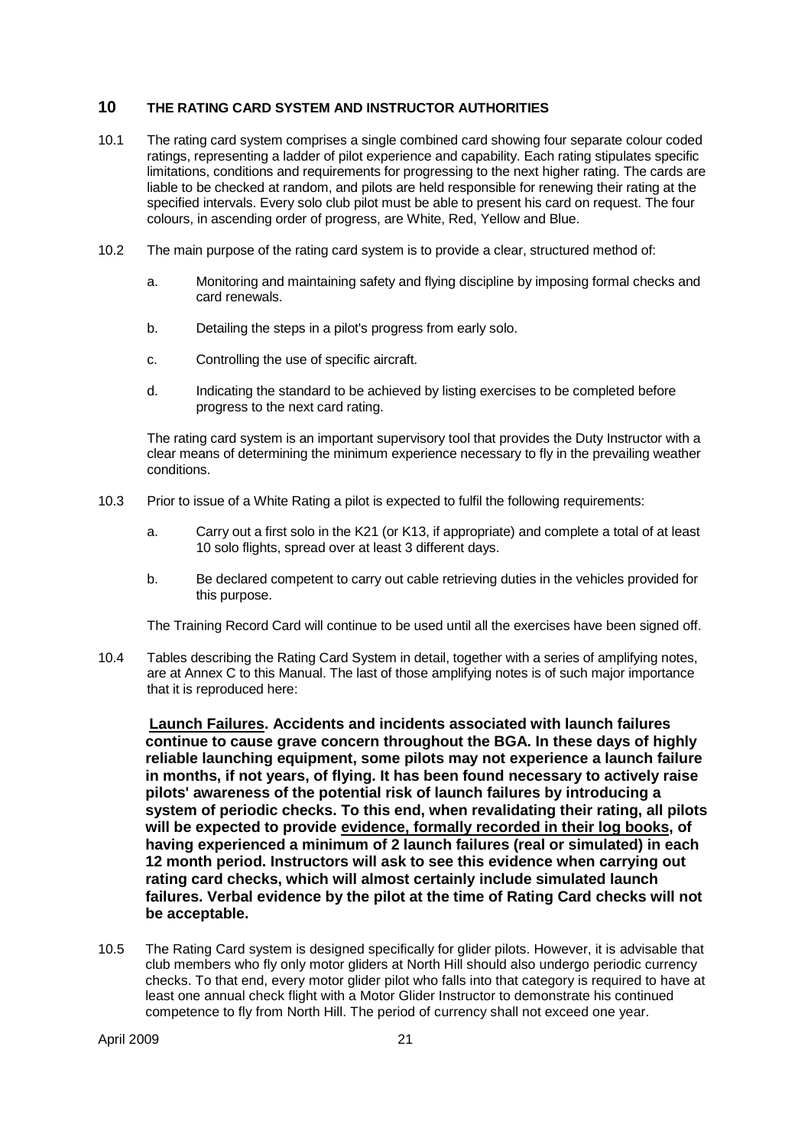#### **10 THE RATING CARD SYSTEM AND INSTRUCTOR AUTHORITIES**

- 10.1 The rating card system comprises a single combined card showing four separate colour coded ratings, representing a ladder of pilot experience and capability. Each rating stipulates specific limitations, conditions and requirements for progressing to the next higher rating. The cards are liable to be checked at random, and pilots are held responsible for renewing their rating at the specified intervals. Every solo club pilot must be able to present his card on request. The four colours, in ascending order of progress, are White, Red, Yellow and Blue.
- 10.2 The main purpose of the rating card system is to provide a clear, structured method of:
	- a. Monitoring and maintaining safety and flying discipline by imposing formal checks and card renewals.
	- b. Detailing the steps in a pilot's progress from early solo.
	- c. Controlling the use of specific aircraft.
	- d. Indicating the standard to be achieved by listing exercises to be completed before progress to the next card rating.

The rating card system is an important supervisory tool that provides the Duty Instructor with a clear means of determining the minimum experience necessary to fly in the prevailing weather conditions.

- 10.3 Prior to issue of a White Rating a pilot is expected to fulfil the following requirements:
	- a. Carry out a first solo in the K21 (or K13, if appropriate) and complete a total of at least 10 solo flights, spread over at least 3 different days.
	- b. Be declared competent to carry out cable retrieving duties in the vehicles provided for this purpose.

The Training Record Card will continue to be used until all the exercises have been signed off.

10.4 Tables describing the Rating Card System in detail, together with a series of amplifying notes, are at Annex C to this Manual. The last of those amplifying notes is of such major importance that it is reproduced here:

**Launch Failures. Accidents and incidents associated with launch failures continue to cause grave concern throughout the BGA. In these days of highly reliable launching equipment, some pilots may not experience a launch failure in months, if not years, of flying. It has been found necessary to actively raise pilots' awareness of the potential risk of launch failures by introducing a system of periodic checks. To this end, when revalidating their rating, all pilots will be expected to provide evidence, formally recorded in their log books, of having experienced a minimum of 2 launch failures (real or simulated) in each 12 month period. Instructors will ask to see this evidence when carrying out rating card checks, which will almost certainly include simulated launch failures. Verbal evidence by the pilot at the time of Rating Card checks will not be acceptable.**

10.5 The Rating Card system is designed specifically for glider pilots. However, it is advisable that club members who fly only motor gliders at North Hill should also undergo periodic currency checks. To that end, every motor glider pilot who falls into that category is required to have at least one annual check flight with a Motor Glider Instructor to demonstrate his continued competence to fly from North Hill. The period of currency shall not exceed one year.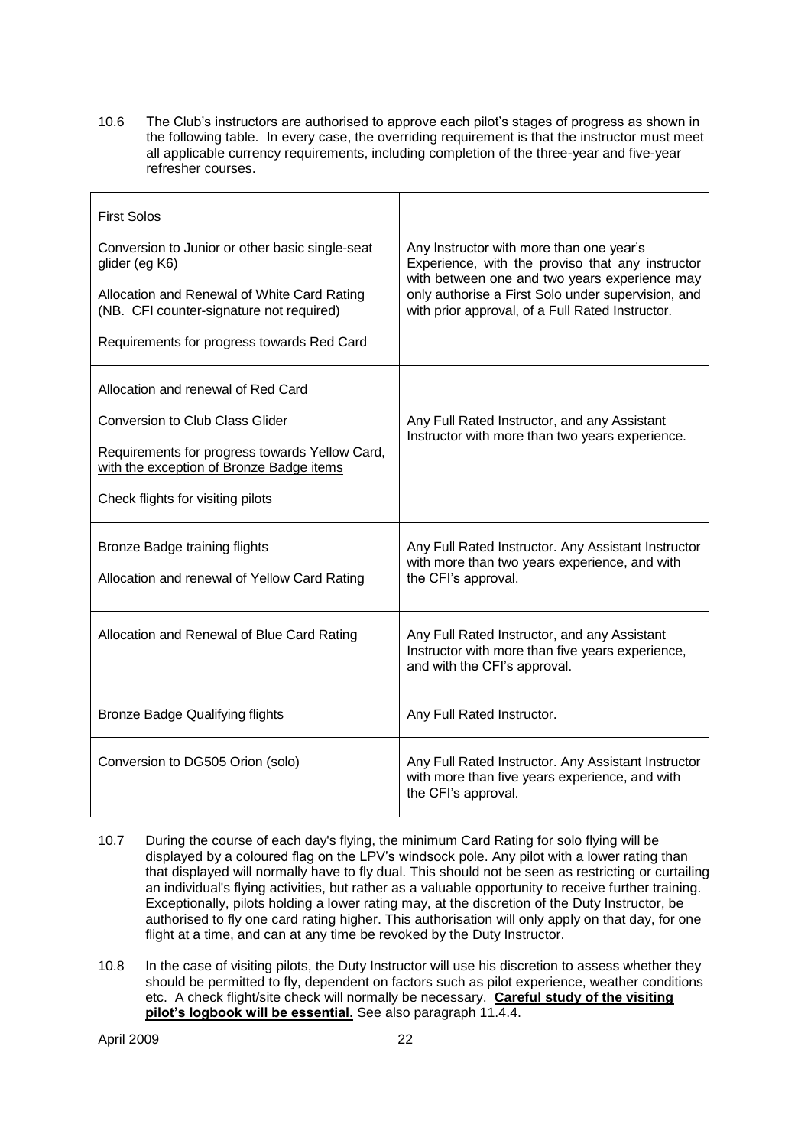10.6 The Club"s instructors are authorised to approve each pilot"s stages of progress as shown in the following table. In every case, the overriding requirement is that the instructor must meet all applicable currency requirements, including completion of the three-year and five-year refresher courses.

| <b>First Solos</b><br>Conversion to Junior or other basic single-seat<br>glider (eg K6)<br>Allocation and Renewal of White Card Rating<br>(NB. CFI counter-signature not required)<br>Requirements for progress towards Red Card | Any Instructor with more than one year's<br>Experience, with the proviso that any instructor<br>with between one and two years experience may<br>only authorise a First Solo under supervision, and<br>with prior approval, of a Full Rated Instructor. |
|----------------------------------------------------------------------------------------------------------------------------------------------------------------------------------------------------------------------------------|---------------------------------------------------------------------------------------------------------------------------------------------------------------------------------------------------------------------------------------------------------|
| Allocation and renewal of Red Card<br><b>Conversion to Club Class Glider</b><br>Requirements for progress towards Yellow Card,<br>with the exception of Bronze Badge items<br>Check flights for visiting pilots                  | Any Full Rated Instructor, and any Assistant<br>Instructor with more than two years experience.                                                                                                                                                         |
| Bronze Badge training flights<br>Allocation and renewal of Yellow Card Rating                                                                                                                                                    | Any Full Rated Instructor. Any Assistant Instructor<br>with more than two years experience, and with<br>the CFI's approval.                                                                                                                             |
| Allocation and Renewal of Blue Card Rating                                                                                                                                                                                       | Any Full Rated Instructor, and any Assistant<br>Instructor with more than five years experience,<br>and with the CFI's approval.                                                                                                                        |
| <b>Bronze Badge Qualifying flights</b>                                                                                                                                                                                           | Any Full Rated Instructor.                                                                                                                                                                                                                              |
| Conversion to DG505 Orion (solo)                                                                                                                                                                                                 | Any Full Rated Instructor. Any Assistant Instructor<br>with more than five years experience, and with<br>the CFI's approval.                                                                                                                            |

- 10.7 During the course of each day's flying, the minimum Card Rating for solo flying will be displayed by a coloured flag on the LPV"s windsock pole. Any pilot with a lower rating than that displayed will normally have to fly dual. This should not be seen as restricting or curtailing an individual's flying activities, but rather as a valuable opportunity to receive further training. Exceptionally, pilots holding a lower rating may, at the discretion of the Duty Instructor, be authorised to fly one card rating higher. This authorisation will only apply on that day, for one flight at a time, and can at any time be revoked by the Duty Instructor.
- 10.8 In the case of visiting pilots, the Duty Instructor will use his discretion to assess whether they should be permitted to fly, dependent on factors such as pilot experience, weather conditions etc. A check flight/site check will normally be necessary. **Careful study of the visiting pilot"s logbook will be essential.** See also paragraph 11.4.4.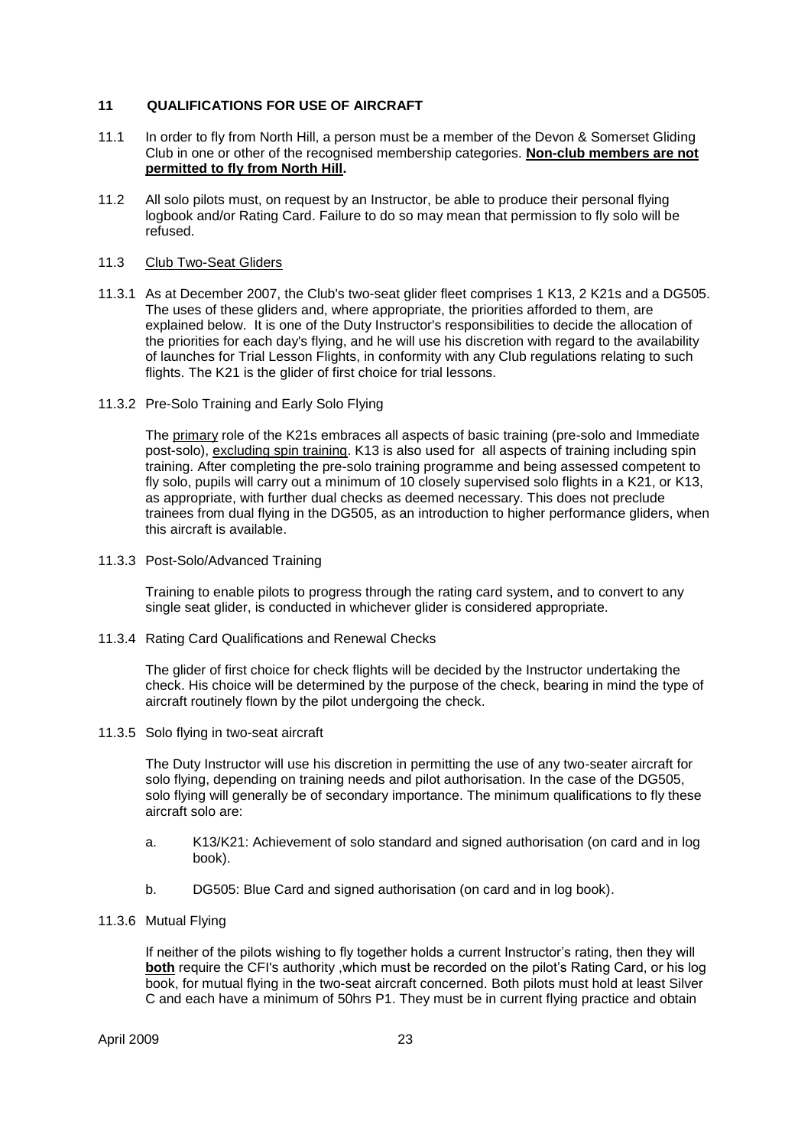#### **11 QUALIFICATIONS FOR USE OF AIRCRAFT**

- 11.1 In order to fly from North Hill, a person must be a member of the Devon & Somerset Gliding Club in one or other of the recognised membership categories. **Non-club members are not permitted to fly from North Hill.**
- 11.2 All solo pilots must, on request by an Instructor, be able to produce their personal flying logbook and/or Rating Card. Failure to do so may mean that permission to fly solo will be refused.

#### 11.3 Club Two-Seat Gliders

- 11.3.1 As at December 2007, the Club's two-seat glider fleet comprises 1 K13, 2 K21s and a DG505. The uses of these gliders and, where appropriate, the priorities afforded to them, are explained below. It is one of the Duty Instructor's responsibilities to decide the allocation of the priorities for each day's flying, and he will use his discretion with regard to the availability of launches for Trial Lesson Flights, in conformity with any Club regulations relating to such flights. The K21 is the glider of first choice for trial lessons.
- 11.3.2 Pre-Solo Training and Early Solo Flying

The primary role of the K21s embraces all aspects of basic training (pre-solo and Immediate post-solo), excluding spin training. K13 is also used for all aspects of training including spin training. After completing the pre-solo training programme and being assessed competent to fly solo, pupils will carry out a minimum of 10 closely supervised solo flights in a K21, or K13, as appropriate, with further dual checks as deemed necessary. This does not preclude trainees from dual flying in the DG505, as an introduction to higher performance gliders, when this aircraft is available.

11.3.3 Post-Solo/Advanced Training

Training to enable pilots to progress through the rating card system, and to convert to any single seat glider, is conducted in whichever glider is considered appropriate.

11.3.4 Rating Card Qualifications and Renewal Checks

The glider of first choice for check flights will be decided by the Instructor undertaking the check. His choice will be determined by the purpose of the check, bearing in mind the type of aircraft routinely flown by the pilot undergoing the check.

11.3.5 Solo flying in two-seat aircraft

The Duty Instructor will use his discretion in permitting the use of any two-seater aircraft for solo flying, depending on training needs and pilot authorisation. In the case of the DG505, solo flying will generally be of secondary importance. The minimum qualifications to fly these aircraft solo are:

- a. K13/K21: Achievement of solo standard and signed authorisation (on card and in log book).
- b. DG505: Blue Card and signed authorisation (on card and in log book).
- 11.3.6 Mutual Flying

If neither of the pilots wishing to fly together holds a current Instructor's rating, then they will **both** require the CFI's authority ,which must be recorded on the pilot's Rating Card, or his log book, for mutual flying in the two-seat aircraft concerned. Both pilots must hold at least Silver C and each have a minimum of 50hrs P1. They must be in current flying practice and obtain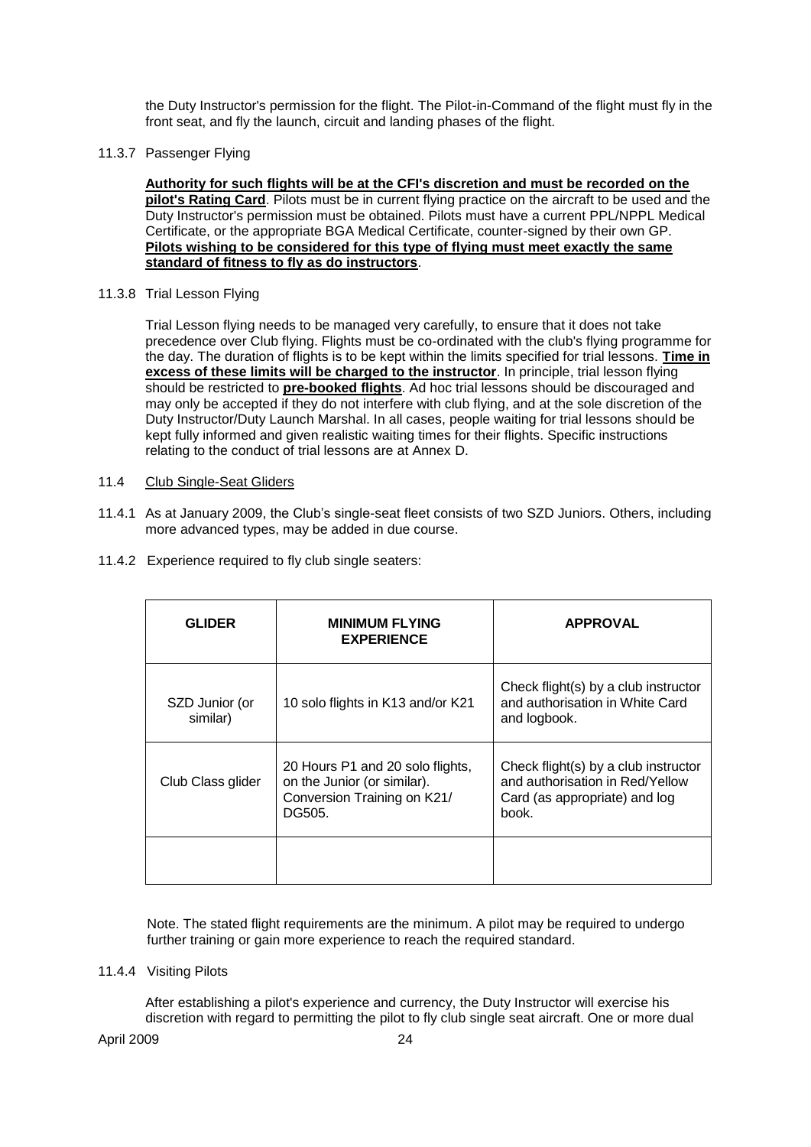the Duty Instructor's permission for the flight. The Pilot-in-Command of the flight must fly in the front seat, and fly the launch, circuit and landing phases of the flight.

11.3.7 Passenger Flying

**Authority for such flights will be at the CFI's discretion and must be recorded on the pilot's Rating Card**. Pilots must be in current flying practice on the aircraft to be used and the Duty Instructor's permission must be obtained. Pilots must have a current PPL/NPPL Medical Certificate, or the appropriate BGA Medical Certificate, counter-signed by their own GP. **Pilots wishing to be considered for this type of flying must meet exactly the same standard of fitness to fly as do instructors**.

11.3.8 Trial Lesson Flying

Trial Lesson flying needs to be managed very carefully, to ensure that it does not take precedence over Club flying. Flights must be co-ordinated with the club's flying programme for the day. The duration of flights is to be kept within the limits specified for trial lessons. **Time in excess of these limits will be charged to the instructor**. In principle, trial lesson flying should be restricted to **pre-booked flights**. Ad hoc trial lessons should be discouraged and may only be accepted if they do not interfere with club flying, and at the sole discretion of the Duty Instructor/Duty Launch Marshal. In all cases, people waiting for trial lessons should be kept fully informed and given realistic waiting times for their flights. Specific instructions relating to the conduct of trial lessons are at Annex D.

#### 11.4 Club Single-Seat Gliders

- 11.4.1 As at January 2009, the Club"s single-seat fleet consists of two SZD Juniors. Others, including more advanced types, may be added in due course.
- 11.4.2 Experience required to fly club single seaters:

| <b>GLIDER</b>              | <b>MINIMUM FLYING</b><br><b>EXPERIENCE</b>                                                               | <b>APPROVAL</b>                                                                                                   |
|----------------------------|----------------------------------------------------------------------------------------------------------|-------------------------------------------------------------------------------------------------------------------|
| SZD Junior (or<br>similar) | 10 solo flights in K13 and/or K21                                                                        | Check flight(s) by a club instructor<br>and authorisation in White Card<br>and logbook.                           |
| Club Class glider          | 20 Hours P1 and 20 solo flights,<br>on the Junior (or similar).<br>Conversion Training on K21/<br>DG505. | Check flight(s) by a club instructor<br>and authorisation in Red/Yellow<br>Card (as appropriate) and log<br>book. |
|                            |                                                                                                          |                                                                                                                   |

Note. The stated flight requirements are the minimum. A pilot may be required to undergo further training or gain more experience to reach the required standard.

#### 11.4.4 Visiting Pilots

After establishing a pilot's experience and currency, the Duty Instructor will exercise his discretion with regard to permitting the pilot to fly club single seat aircraft. One or more dual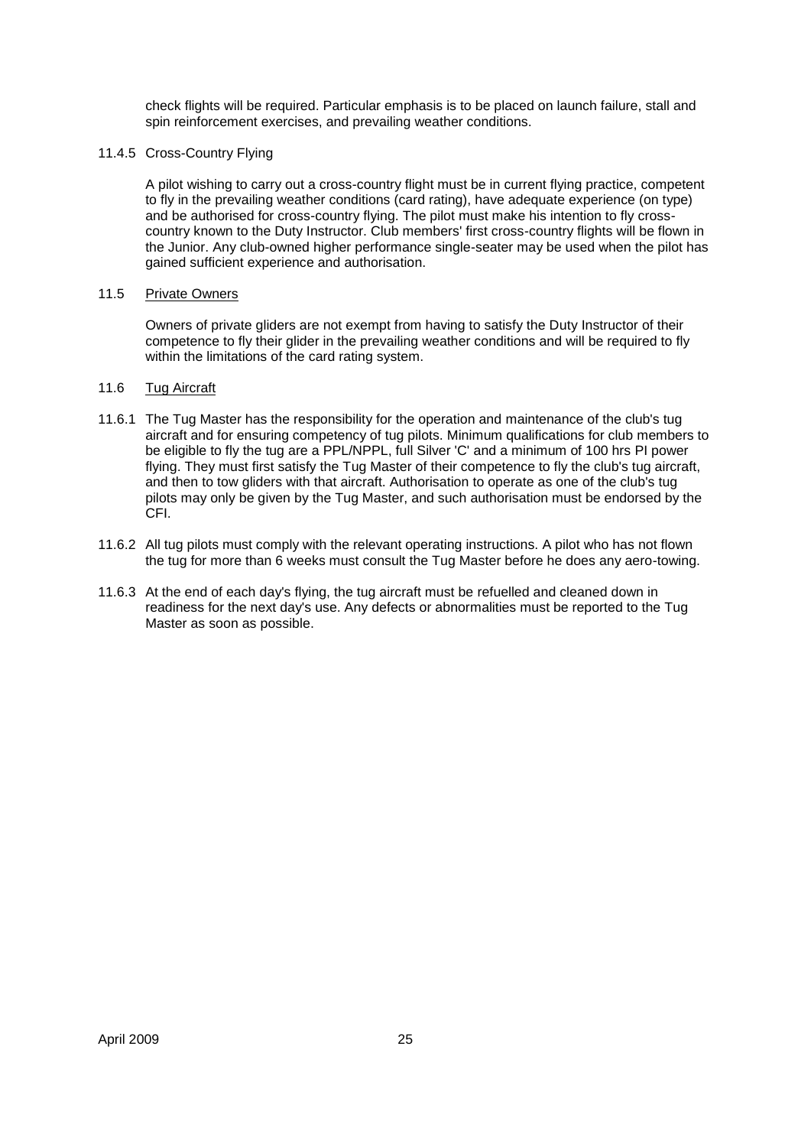check flights will be required. Particular emphasis is to be placed on launch failure, stall and spin reinforcement exercises, and prevailing weather conditions.

11.4.5 Cross-Country Flying

A pilot wishing to carry out a cross-country flight must be in current flying practice, competent to fly in the prevailing weather conditions (card rating), have adequate experience (on type) and be authorised for cross-country flying. The pilot must make his intention to fly crosscountry known to the Duty Instructor. Club members' first cross-country flights will be flown in the Junior. Any club-owned higher performance single-seater may be used when the pilot has gained sufficient experience and authorisation.

#### 11.5 Private Owners

Owners of private gliders are not exempt from having to satisfy the Duty Instructor of their competence to fly their glider in the prevailing weather conditions and will be required to fly within the limitations of the card rating system.

#### 11.6 Tug Aircraft

- 11.6.1 The Tug Master has the responsibility for the operation and maintenance of the club's tug aircraft and for ensuring competency of tug pilots. Minimum qualifications for club members to be eligible to fly the tug are a PPL/NPPL, full Silver 'C' and a minimum of 100 hrs PI power flying. They must first satisfy the Tug Master of their competence to fly the club's tug aircraft, and then to tow gliders with that aircraft. Authorisation to operate as one of the club's tug pilots may only be given by the Tug Master, and such authorisation must be endorsed by the .<br>CFI.
- 11.6.2 All tug pilots must comply with the relevant operating instructions. A pilot who has not flown the tug for more than 6 weeks must consult the Tug Master before he does any aero-towing.
- 11.6.3 At the end of each day's flying, the tug aircraft must be refuelled and cleaned down in readiness for the next day's use. Any defects or abnormalities must be reported to the Tug Master as soon as possible.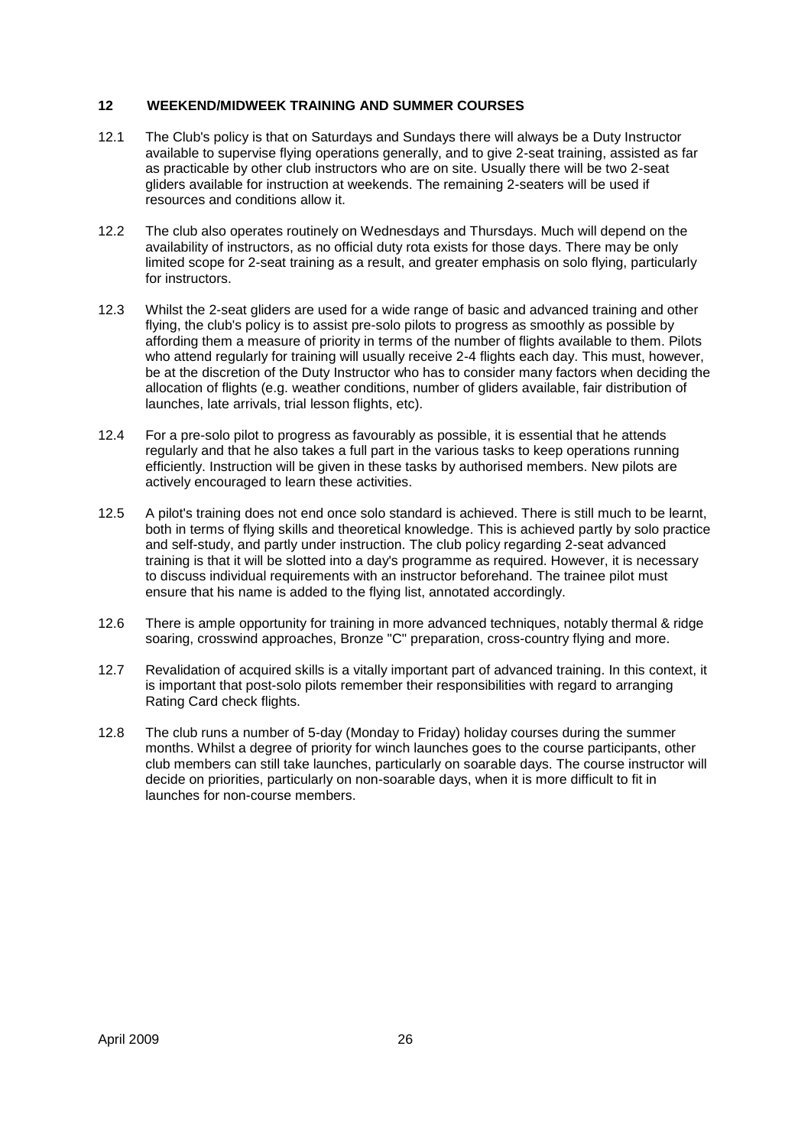#### **12 WEEKEND/MIDWEEK TRAINING AND SUMMER COURSES**

- 12.1 The Club's policy is that on Saturdays and Sundays there will always be a Duty Instructor available to supervise flying operations generally, and to give 2-seat training, assisted as far as practicable by other club instructors who are on site. Usually there will be two 2-seat gliders available for instruction at weekends. The remaining 2-seaters will be used if resources and conditions allow it.
- 12.2 The club also operates routinely on Wednesdays and Thursdays. Much will depend on the availability of instructors, as no official duty rota exists for those days. There may be only limited scope for 2-seat training as a result, and greater emphasis on solo flying, particularly for instructors.
- 12.3 Whilst the 2-seat gliders are used for a wide range of basic and advanced training and other flying, the club's policy is to assist pre-solo pilots to progress as smoothly as possible by affording them a measure of priority in terms of the number of flights available to them. Pilots who attend regularly for training will usually receive 2-4 flights each day. This must, however, be at the discretion of the Duty Instructor who has to consider many factors when deciding the allocation of flights (e.g. weather conditions, number of gliders available, fair distribution of launches, late arrivals, trial lesson flights, etc).
- 12.4 For a pre-solo pilot to progress as favourably as possible, it is essential that he attends regularly and that he also takes a full part in the various tasks to keep operations running efficiently. Instruction will be given in these tasks by authorised members. New pilots are actively encouraged to learn these activities.
- 12.5 A pilot's training does not end once solo standard is achieved. There is still much to be learnt, both in terms of flying skills and theoretical knowledge. This is achieved partly by solo practice and self-study, and partly under instruction. The club policy regarding 2-seat advanced training is that it will be slotted into a day's programme as required. However, it is necessary to discuss individual requirements with an instructor beforehand. The trainee pilot must ensure that his name is added to the flying list, annotated accordingly.
- 12.6 There is ample opportunity for training in more advanced techniques, notably thermal & ridge soaring, crosswind approaches, Bronze "C" preparation, cross-country flying and more.
- 12.7 Revalidation of acquired skills is a vitally important part of advanced training. In this context, it is important that post-solo pilots remember their responsibilities with regard to arranging Rating Card check flights.
- 12.8 The club runs a number of 5-day (Monday to Friday) holiday courses during the summer months. Whilst a degree of priority for winch launches goes to the course participants, other club members can still take launches, particularly on soarable days. The course instructor will decide on priorities, particularly on non-soarable days, when it is more difficult to fit in launches for non-course members.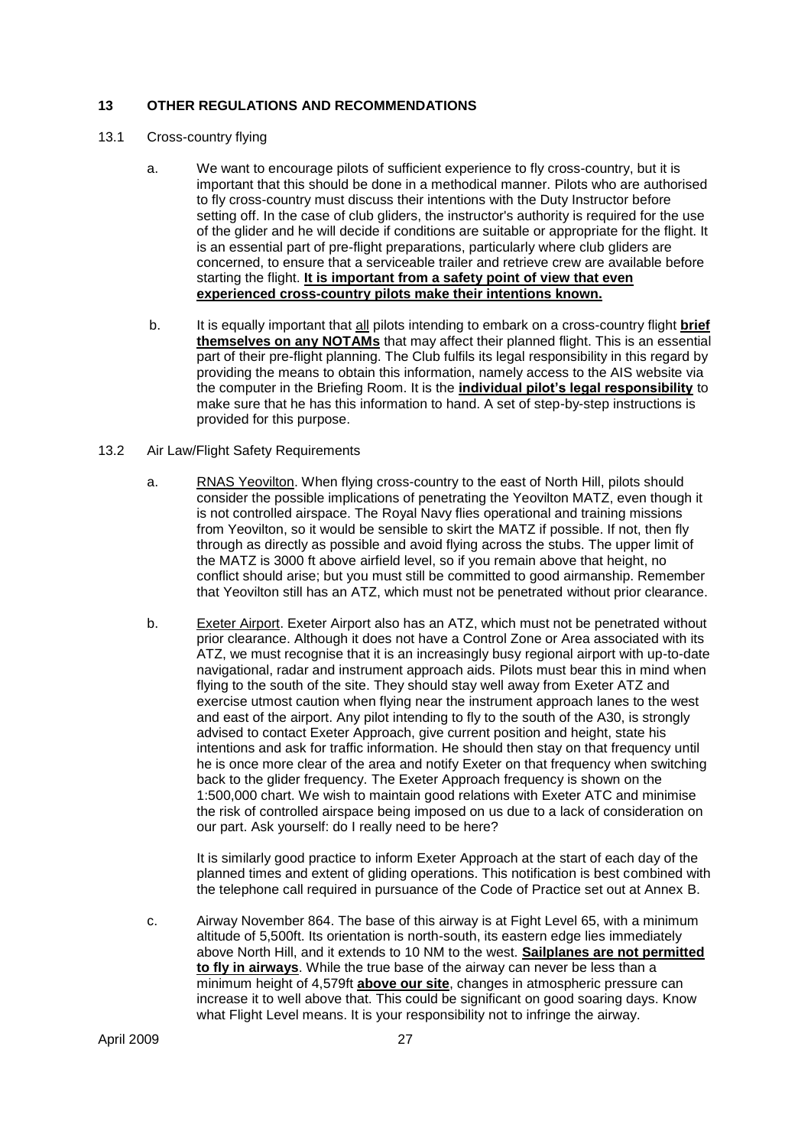#### **13 OTHER REGULATIONS AND RECOMMENDATIONS**

#### 13.1 Cross-country flying

- a. We want to encourage pilots of sufficient experience to fly cross-country, but it is important that this should be done in a methodical manner. Pilots who are authorised to fly cross-country must discuss their intentions with the Duty Instructor before setting off. In the case of club gliders, the instructor's authority is required for the use of the glider and he will decide if conditions are suitable or appropriate for the flight. It is an essential part of pre-flight preparations, particularly where club gliders are concerned, to ensure that a serviceable trailer and retrieve crew are available before starting the flight. **It is important from a safety point of view that even experienced cross-country pilots make their intentions known.**
- b. It is equally important that all pilots intending to embark on a cross-country flight **brief themselves on any NOTAMs** that may affect their planned flight. This is an essential part of their pre-flight planning. The Club fulfils its legal responsibility in this regard by providing the means to obtain this information, namely access to the AIS website via the computer in the Briefing Room. It is the **individual pilot"s legal responsibility** to make sure that he has this information to hand. A set of step-by-step instructions is provided for this purpose.

#### 13.2 Air Law/Flight Safety Requirements

- a. RNAS Yeovilton. When flying cross-country to the east of North Hill, pilots should consider the possible implications of penetrating the Yeovilton MATZ, even though it is not controlled airspace. The Royal Navy flies operational and training missions from Yeovilton, so it would be sensible to skirt the MATZ if possible. If not, then fly through as directly as possible and avoid flying across the stubs. The upper limit of the MATZ is 3000 ft above airfield level, so if you remain above that height, no conflict should arise; but you must still be committed to good airmanship. Remember that Yeovilton still has an ATZ, which must not be penetrated without prior clearance.
- b. Exeter Airport. Exeter Airport also has an ATZ, which must not be penetrated without prior clearance. Although it does not have a Control Zone or Area associated with its ATZ, we must recognise that it is an increasingly busy regional airport with up-to-date navigational, radar and instrument approach aids. Pilots must bear this in mind when flying to the south of the site. They should stay well away from Exeter ATZ and exercise utmost caution when flying near the instrument approach lanes to the west and east of the airport. Any pilot intending to fly to the south of the A30, is strongly advised to contact Exeter Approach, give current position and height, state his intentions and ask for traffic information. He should then stay on that frequency until he is once more clear of the area and notify Exeter on that frequency when switching back to the glider frequency. The Exeter Approach frequency is shown on the 1:500,000 chart. We wish to maintain good relations with Exeter ATC and minimise the risk of controlled airspace being imposed on us due to a lack of consideration on our part. Ask yourself: do I really need to be here?

It is similarly good practice to inform Exeter Approach at the start of each day of the planned times and extent of gliding operations. This notification is best combined with the telephone call required in pursuance of the Code of Practice set out at Annex B.

c. Airway November 864. The base of this airway is at Fight Level 65, with a minimum altitude of 5,500ft. Its orientation is north-south, its eastern edge lies immediately above North Hill, and it extends to 10 NM to the west. **Sailplanes are not permitted to fly in airways**. While the true base of the airway can never be less than a minimum height of 4,579ft **above our site**, changes in atmospheric pressure can increase it to well above that. This could be significant on good soaring days. Know what Flight Level means. It is your responsibility not to infringe the airway.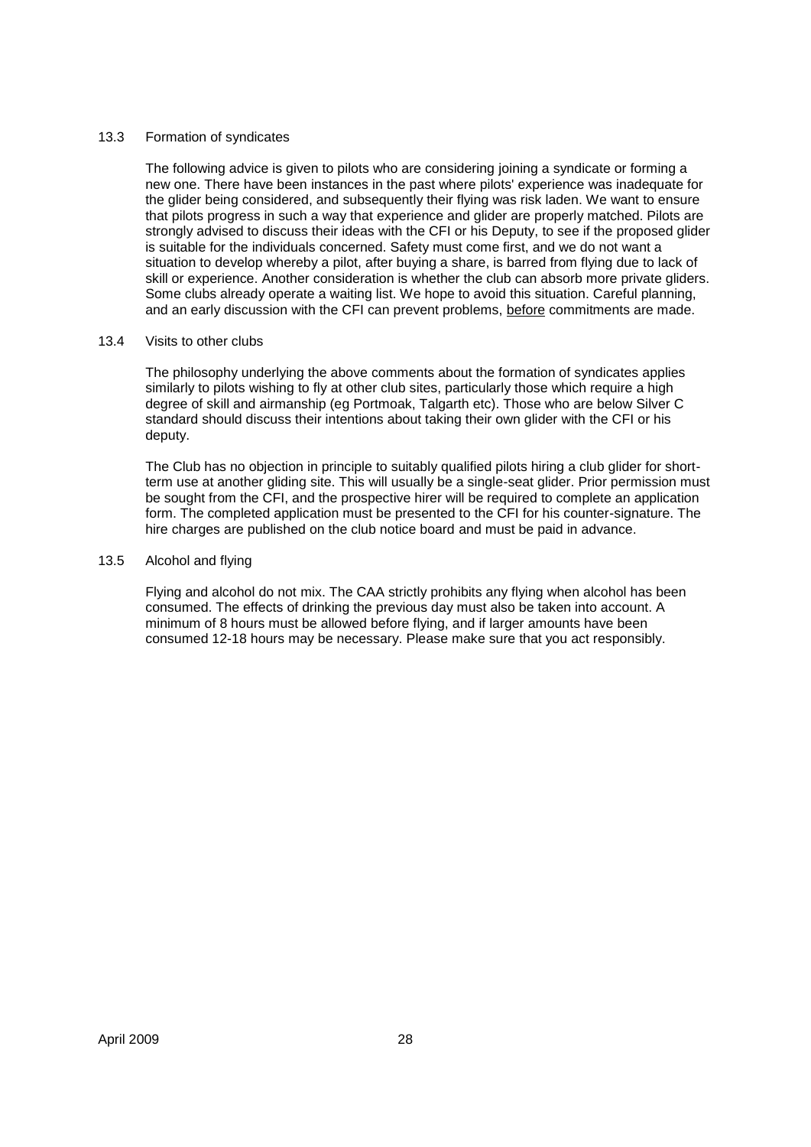#### 13.3 Formation of syndicates

The following advice is given to pilots who are considering joining a syndicate or forming a new one. There have been instances in the past where pilots' experience was inadequate for the glider being considered, and subsequently their flying was risk laden. We want to ensure that pilots progress in such a way that experience and glider are properly matched. Pilots are strongly advised to discuss their ideas with the CFI or his Deputy, to see if the proposed glider is suitable for the individuals concerned. Safety must come first, and we do not want a situation to develop whereby a pilot, after buying a share, is barred from flying due to lack of skill or experience. Another consideration is whether the club can absorb more private gliders. Some clubs already operate a waiting list. We hope to avoid this situation. Careful planning, and an early discussion with the CFI can prevent problems, before commitments are made.

#### 13.4 Visits to other clubs

The philosophy underlying the above comments about the formation of syndicates applies similarly to pilots wishing to fly at other club sites, particularly those which require a high degree of skill and airmanship (eg Portmoak, Talgarth etc). Those who are below Silver C standard should discuss their intentions about taking their own glider with the CFI or his deputy.

The Club has no objection in principle to suitably qualified pilots hiring a club glider for shortterm use at another gliding site. This will usually be a single-seat glider. Prior permission must be sought from the CFI, and the prospective hirer will be required to complete an application form. The completed application must be presented to the CFI for his counter-signature. The hire charges are published on the club notice board and must be paid in advance.

#### 13.5 Alcohol and flying

Flying and alcohol do not mix. The CAA strictly prohibits any flying when alcohol has been consumed. The effects of drinking the previous day must also be taken into account. A minimum of 8 hours must be allowed before flying, and if larger amounts have been consumed 12-18 hours may be necessary. Please make sure that you act responsibly.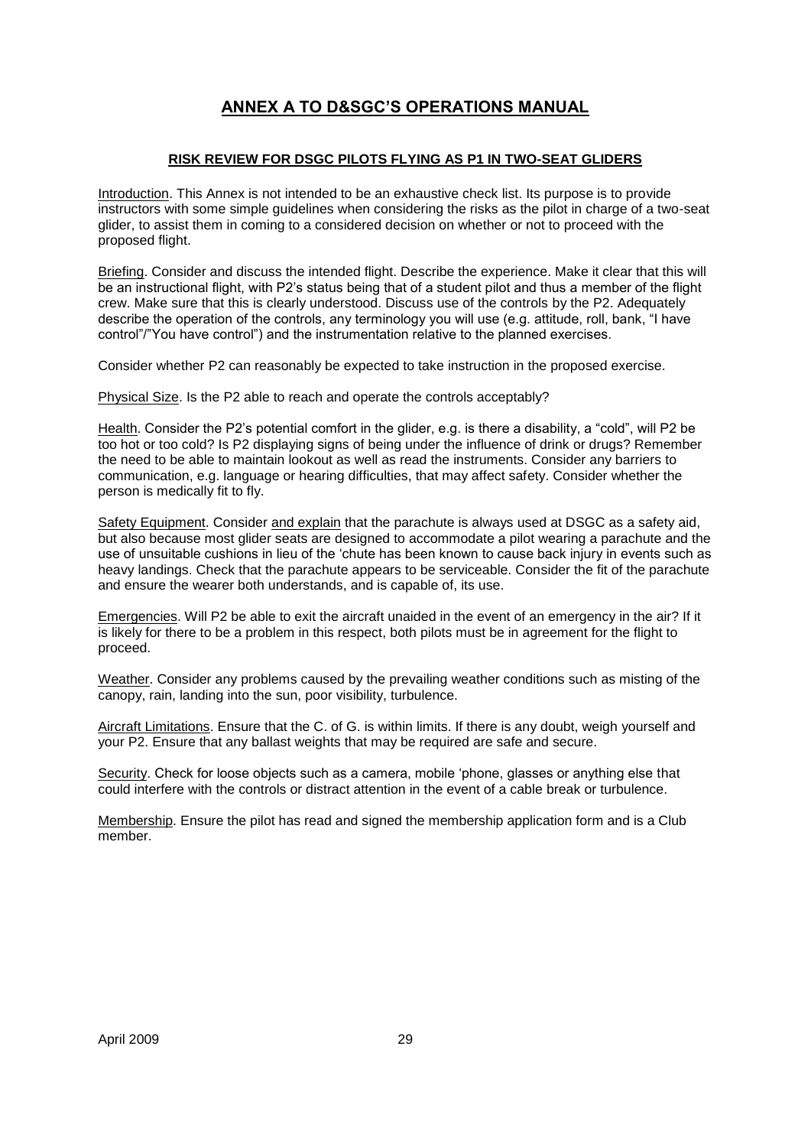## **ANNEX A TO D&SGC"S OPERATIONS MANUAL**

#### **RISK REVIEW FOR DSGC PILOTS FLYING AS P1 IN TWO-SEAT GLIDERS**

Introduction. This Annex is not intended to be an exhaustive check list. Its purpose is to provide instructors with some simple guidelines when considering the risks as the pilot in charge of a two-seat glider, to assist them in coming to a considered decision on whether or not to proceed with the proposed flight.

Briefing. Consider and discuss the intended flight. Describe the experience. Make it clear that this will be an instructional flight, with P2's status being that of a student pilot and thus a member of the flight crew. Make sure that this is clearly understood. Discuss use of the controls by the P2. Adequately describe the operation of the controls, any terminology you will use (e.g. attitude, roll, bank, "I have control"/"You have control") and the instrumentation relative to the planned exercises.

Consider whether P2 can reasonably be expected to take instruction in the proposed exercise.

Physical Size. Is the P2 able to reach and operate the controls acceptably?

Health. Consider the P2"s potential comfort in the glider, e.g. is there a disability, a "cold", will P2 be too hot or too cold? Is P2 displaying signs of being under the influence of drink or drugs? Remember the need to be able to maintain lookout as well as read the instruments. Consider any barriers to communication, e.g. language or hearing difficulties, that may affect safety. Consider whether the person is medically fit to fly.

Safety Equipment. Consider and explain that the parachute is always used at DSGC as a safety aid, but also because most glider seats are designed to accommodate a pilot wearing a parachute and the use of unsuitable cushions in lieu of the "chute has been known to cause back injury in events such as heavy landings. Check that the parachute appears to be serviceable. Consider the fit of the parachute and ensure the wearer both understands, and is capable of, its use.

Emergencies. Will P2 be able to exit the aircraft unaided in the event of an emergency in the air? If it is likely for there to be a problem in this respect, both pilots must be in agreement for the flight to proceed.

Weather. Consider any problems caused by the prevailing weather conditions such as misting of the canopy, rain, landing into the sun, poor visibility, turbulence.

Aircraft Limitations. Ensure that the C. of G. is within limits. If there is any doubt, weigh yourself and your P2. Ensure that any ballast weights that may be required are safe and secure.

Security. Check for loose objects such as a camera, mobile "phone, glasses or anything else that could interfere with the controls or distract attention in the event of a cable break or turbulence.

Membership. Ensure the pilot has read and signed the membership application form and is a Club member.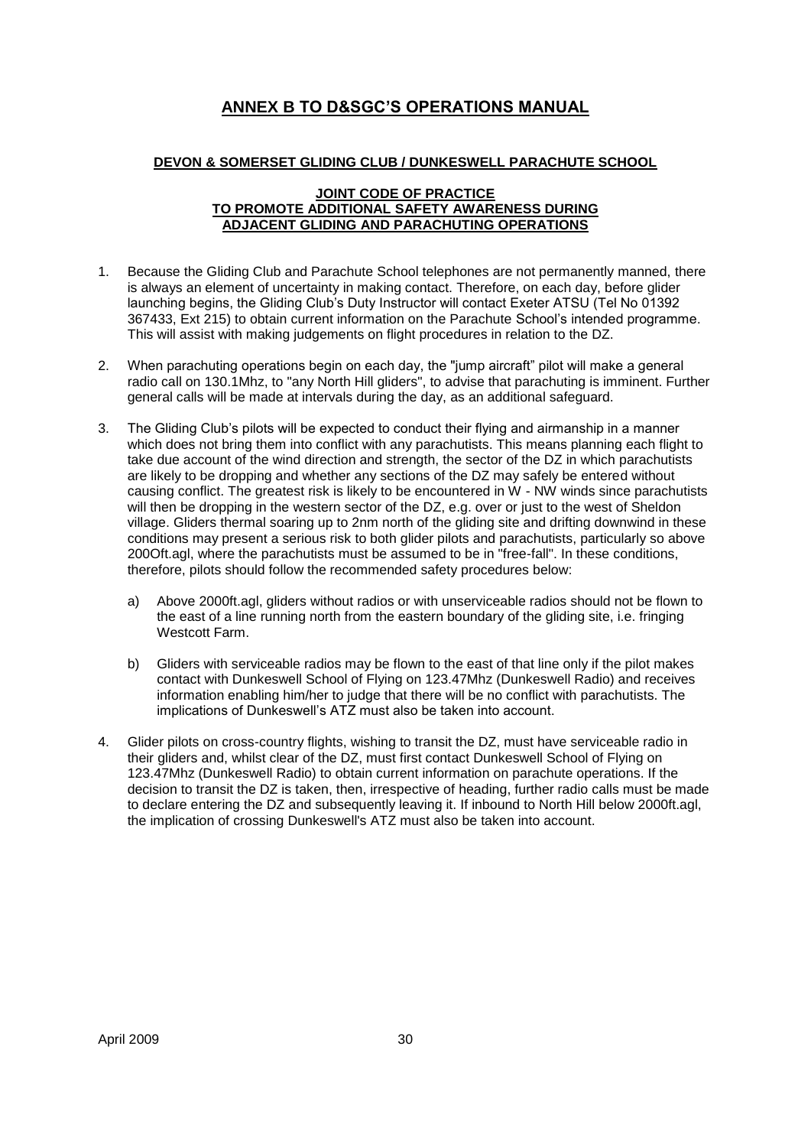## **ANNEX B TO D&SGC"S OPERATIONS MANUAL**

#### **DEVON & SOMERSET GLIDING CLUB / DUNKESWELL PARACHUTE SCHOOL**

#### **JOINT CODE OF PRACTICE TO PROMOTE ADDITIONAL SAFETY AWARENESS DURING ADJACENT GLIDING AND PARACHUTING OPERATIONS**

- 1. Because the Gliding Club and Parachute School telephones are not permanently manned, there is always an element of uncertainty in making contact. Therefore, on each day, before glider launching begins, the Gliding Club"s Duty Instructor will contact Exeter ATSU (Tel No 01392 367433, Ext 215) to obtain current information on the Parachute School"s intended programme. This will assist with making judgements on flight procedures in relation to the DZ.
- 2. When parachuting operations begin on each day, the "jump aircraft" pilot will make a general radio call on 130.1Mhz, to "any North Hill gliders", to advise that parachuting is imminent. Further general calls will be made at intervals during the day, as an additional safeguard.
- 3. The Gliding Club"s pilots will be expected to conduct their flying and airmanship in a manner which does not bring them into conflict with any parachutists. This means planning each flight to take due account of the wind direction and strength, the sector of the DZ in which parachutists are likely to be dropping and whether any sections of the DZ may safely be entered without causing conflict. The greatest risk is likely to be encountered in W - NW winds since parachutists will then be dropping in the western sector of the DZ, e.g. over or just to the west of Sheldon village. Gliders thermal soaring up to 2nm north of the gliding site and drifting downwind in these conditions may present a serious risk to both glider pilots and parachutists, particularly so above 200Oft.agl, where the parachutists must be assumed to be in "free-fall". In these conditions, therefore, pilots should follow the recommended safety procedures below:
	- a) Above 2000ft.agl, gliders without radios or with unserviceable radios should not be flown to the east of a line running north from the eastern boundary of the gliding site, i.e. fringing Westcott Farm.
	- b) Gliders with serviceable radios may be flown to the east of that line only if the pilot makes contact with Dunkeswell School of Flying on 123.47Mhz (Dunkeswell Radio) and receives information enabling him/her to judge that there will be no conflict with parachutists. The implications of Dunkeswell"s ATZ must also be taken into account.
- 4. Glider pilots on cross-country flights, wishing to transit the DZ, must have serviceable radio in their gliders and, whilst clear of the DZ, must first contact Dunkeswell School of Flying on 123.47Mhz (Dunkeswell Radio) to obtain current information on parachute operations. If the decision to transit the DZ is taken, then, irrespective of heading, further radio calls must be made to declare entering the DZ and subsequently leaving it. If inbound to North Hill below 2000ft.agl, the implication of crossing Dunkeswell's ATZ must also be taken into account.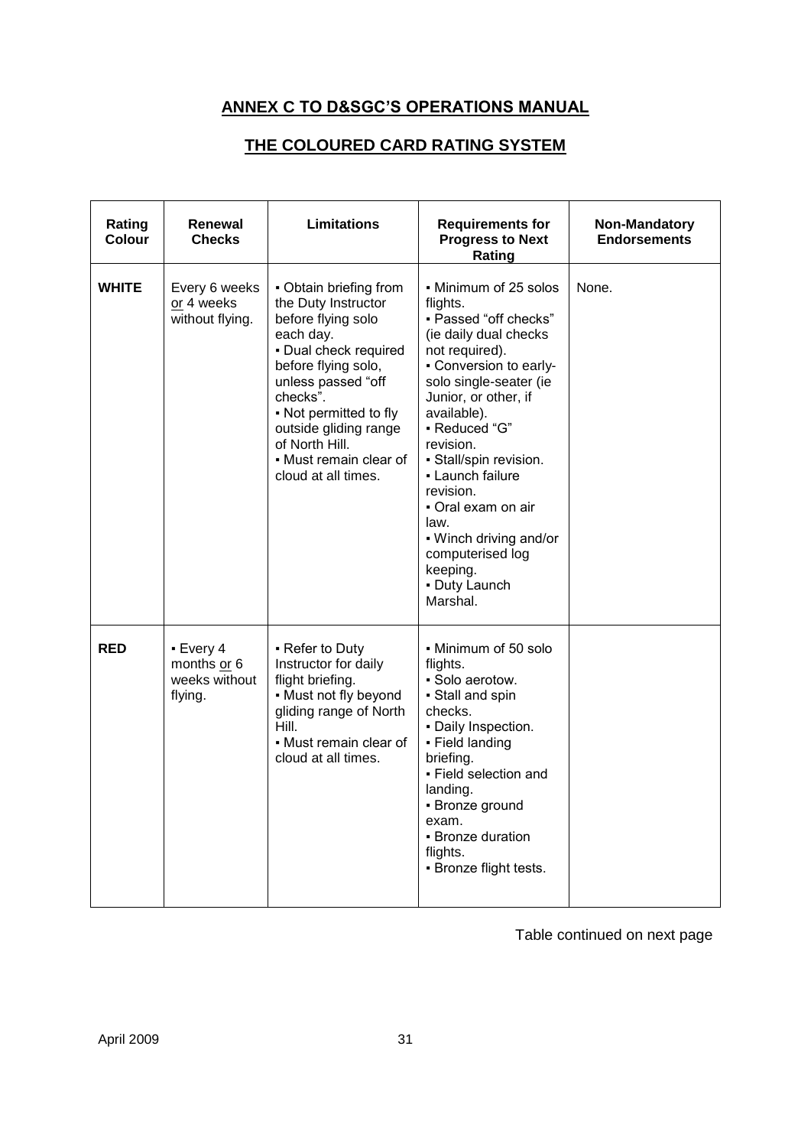## **ANNEX C TO D&SGC"S OPERATIONS MANUAL**

## **THE COLOURED CARD RATING SYSTEM**

| Rating<br>Colour | Renewal<br><b>Checks</b>                             | <b>Limitations</b>                                                                                                                                                                                                                                                                       | <b>Requirements for</b><br><b>Progress to Next</b><br>Rating                                                                                                                                                                                                                                                                                                                                                   | Non-Mandatory<br><b>Endorsements</b> |
|------------------|------------------------------------------------------|------------------------------------------------------------------------------------------------------------------------------------------------------------------------------------------------------------------------------------------------------------------------------------------|----------------------------------------------------------------------------------------------------------------------------------------------------------------------------------------------------------------------------------------------------------------------------------------------------------------------------------------------------------------------------------------------------------------|--------------------------------------|
| <b>WHITE</b>     | Every 6 weeks<br>or 4 weeks<br>without flying.       | • Obtain briefing from<br>the Duty Instructor<br>before flying solo<br>each day.<br>- Dual check required<br>before flying solo,<br>unless passed "off<br>checks".<br>• Not permitted to fly<br>outside gliding range<br>of North Hill.<br>• Must remain clear of<br>cloud at all times. | - Minimum of 25 solos<br>flights.<br>- Passed "off checks"<br>(ie daily dual checks<br>not required).<br>- Conversion to early-<br>solo single-seater (ie<br>Junior, or other, if<br>available).<br>- Reduced "G"<br>revision.<br>- Stall/spin revision.<br>• Launch failure<br>revision.<br>• Oral exam on air<br>law.<br>. Winch driving and/or<br>computerised log<br>keeping.<br>- Duty Launch<br>Marshal. | None.                                |
| <b>RED</b>       | - Every 4<br>months or 6<br>weeks without<br>flying. | • Refer to Duty<br>Instructor for daily<br>flight briefing.<br>• Must not fly beyond<br>gliding range of North<br>Hill.<br>• Must remain clear of<br>cloud at all times.                                                                                                                 | • Minimum of 50 solo<br>flights.<br>· Solo aerotow.<br>· Stall and spin<br>checks.<br>- Daily Inspection.<br>• Field landing<br>briefing.<br>- Field selection and<br>landing.<br>• Bronze ground<br>exam.<br>- Bronze duration<br>flights.<br>• Bronze flight tests.                                                                                                                                          |                                      |

Table continued on next page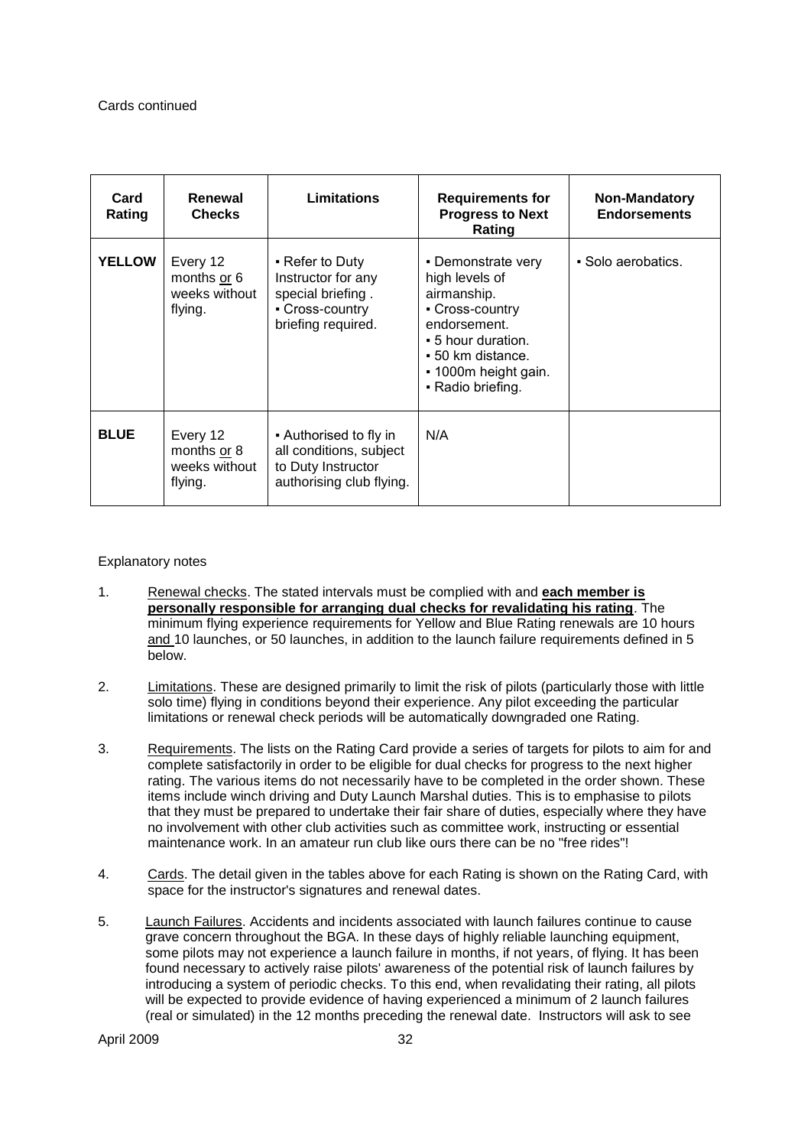| Card<br>Rating | Renewal<br><b>Checks</b>                            | <b>Limitations</b>                                                                                  | <b>Requirements for</b><br><b>Progress to Next</b><br>Rating                                                                                                                   | <b>Non-Mandatory</b><br><b>Endorsements</b> |
|----------------|-----------------------------------------------------|-----------------------------------------------------------------------------------------------------|--------------------------------------------------------------------------------------------------------------------------------------------------------------------------------|---------------------------------------------|
| <b>YELLOW</b>  | Every 12<br>months or 6<br>weeks without<br>flying. | • Refer to Duty<br>Instructor for any<br>special briefing.<br>- Cross-country<br>briefing required. | • Demonstrate very<br>high levels of<br>airmanship.<br>• Cross-country<br>endorsement.<br>• 5 hour duration.<br>• 50 km distance.<br>• 1000m height gain.<br>• Radio briefing. | • Solo aerobatics.                          |
| <b>BLUE</b>    | Every 12<br>months or 8<br>weeks without<br>flying. | • Authorised to fly in<br>all conditions, subject<br>to Duty Instructor<br>authorising club flying. | N/A                                                                                                                                                                            |                                             |

#### Explanatory notes

- 1. Renewal checks. The stated intervals must be complied with and **each member is personally responsible for arranging dual checks for revalidating his rating**. The minimum flying experience requirements for Yellow and Blue Rating renewals are 10 hours and 10 launches, or 50 launches, in addition to the launch failure requirements defined in 5 below.
- 2. Limitations. These are designed primarily to limit the risk of pilots (particularly those with little solo time) flying in conditions beyond their experience. Any pilot exceeding the particular limitations or renewal check periods will be automatically downgraded one Rating.
- 3. Requirements. The lists on the Rating Card provide a series of targets for pilots to aim for and complete satisfactorily in order to be eligible for dual checks for progress to the next higher rating. The various items do not necessarily have to be completed in the order shown. These items include winch driving and Duty Launch Marshal duties. This is to emphasise to pilots that they must be prepared to undertake their fair share of duties, especially where they have no involvement with other club activities such as committee work, instructing or essential maintenance work. In an amateur run club like ours there can be no "free rides"!
- 4. Cards. The detail given in the tables above for each Rating is shown on the Rating Card, with space for the instructor's signatures and renewal dates.
- 5. Launch Failures. Accidents and incidents associated with launch failures continue to cause grave concern throughout the BGA. In these days of highly reliable launching equipment, some pilots may not experience a launch failure in months, if not years, of flying. It has been found necessary to actively raise pilots' awareness of the potential risk of launch failures by introducing a system of periodic checks. To this end, when revalidating their rating, all pilots will be expected to provide evidence of having experienced a minimum of 2 launch failures (real or simulated) in the 12 months preceding the renewal date. Instructors will ask to see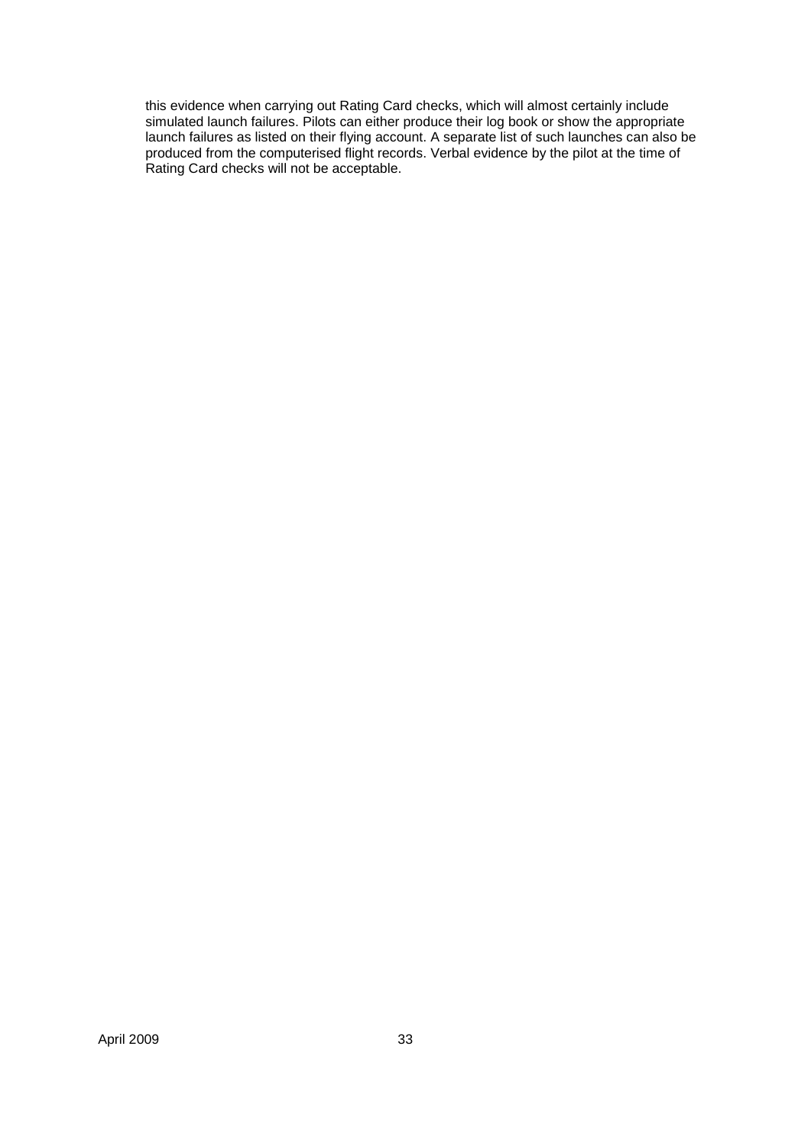this evidence when carrying out Rating Card checks, which will almost certainly include simulated launch failures. Pilots can either produce their log book or show the appropriate launch failures as listed on their flying account. A separate list of such launches can also be produced from the computerised flight records. Verbal evidence by the pilot at the time of Rating Card checks will not be acceptable.